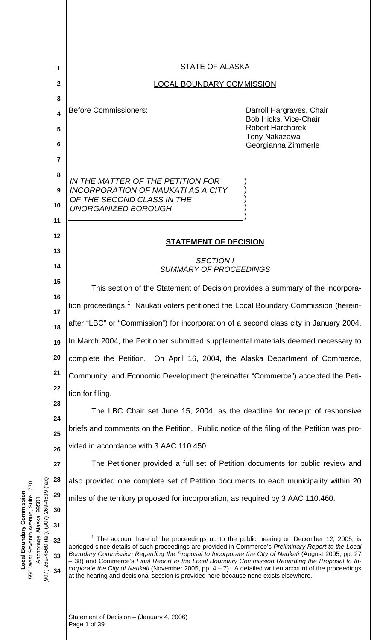<span id="page-0-0"></span>

|                                                                                                                                                 | 1                       | <b>STATE OF ALASKA</b>                                                                                                                                                                                                                                                                                         |                                                   |
|-------------------------------------------------------------------------------------------------------------------------------------------------|-------------------------|----------------------------------------------------------------------------------------------------------------------------------------------------------------------------------------------------------------------------------------------------------------------------------------------------------------|---------------------------------------------------|
|                                                                                                                                                 | $\mathbf 2$             |                                                                                                                                                                                                                                                                                                                | <b>LOCAL BOUNDARY COMMISSION</b>                  |
|                                                                                                                                                 | 3                       |                                                                                                                                                                                                                                                                                                                |                                                   |
|                                                                                                                                                 | $\overline{\mathbf{4}}$ | <b>Before Commissioners:</b>                                                                                                                                                                                                                                                                                   | Darroll Hargraves, Chair<br>Bob Hicks, Vice-Chair |
|                                                                                                                                                 | 5                       |                                                                                                                                                                                                                                                                                                                | <b>Robert Harcharek</b><br><b>Tony Nakazawa</b>   |
|                                                                                                                                                 | 6                       |                                                                                                                                                                                                                                                                                                                | Georgianna Zimmerle                               |
|                                                                                                                                                 | 7<br>8                  |                                                                                                                                                                                                                                                                                                                |                                                   |
|                                                                                                                                                 | 9                       | IN THE MATTER OF THE PETITION FOR<br><b>INCORPORATION OF NAUKATI AS A CITY</b>                                                                                                                                                                                                                                 |                                                   |
|                                                                                                                                                 | 10                      | OF THE SECOND CLASS IN THE                                                                                                                                                                                                                                                                                     |                                                   |
|                                                                                                                                                 | 11                      | <b>UNORGANIZED BOROUGH</b>                                                                                                                                                                                                                                                                                     |                                                   |
|                                                                                                                                                 | 12                      |                                                                                                                                                                                                                                                                                                                |                                                   |
|                                                                                                                                                 | 13                      | <b>STATEMENT OF DECISION</b>                                                                                                                                                                                                                                                                                   |                                                   |
|                                                                                                                                                 | 14                      | <b>SECTION I</b><br><b>SUMMARY OF PROCEEDINGS</b>                                                                                                                                                                                                                                                              |                                                   |
|                                                                                                                                                 | 15                      | This section of the Statement of Decision provides a summary of the incorpora-                                                                                                                                                                                                                                 |                                                   |
|                                                                                                                                                 | 16                      | tion proceedings. <sup>1</sup> Naukati voters petitioned the Local Boundary Commission (herein-                                                                                                                                                                                                                |                                                   |
|                                                                                                                                                 | 17                      | after "LBC" or "Commission") for incorporation of a second class city in January 2004.                                                                                                                                                                                                                         |                                                   |
|                                                                                                                                                 | 18<br>19                | In March 2004, the Petitioner submitted supplemental materials deemed necessary to                                                                                                                                                                                                                             |                                                   |
|                                                                                                                                                 | 20                      | complete the Petition. On April 16, 2004, the Alaska Department of Commerce,                                                                                                                                                                                                                                   |                                                   |
|                                                                                                                                                 | 21                      | Community, and Economic Development (hereinafter "Commerce") accepted the Peti-                                                                                                                                                                                                                                |                                                   |
|                                                                                                                                                 | 22                      | tion for filing.                                                                                                                                                                                                                                                                                               |                                                   |
|                                                                                                                                                 | 23                      | The LBC Chair set June 15, 2004, as the deadline for receipt of responsive                                                                                                                                                                                                                                     |                                                   |
|                                                                                                                                                 | 24                      |                                                                                                                                                                                                                                                                                                                |                                                   |
|                                                                                                                                                 | 25                      | briefs and comments on the Petition. Public notice of the filing of the Petition was pro-                                                                                                                                                                                                                      |                                                   |
|                                                                                                                                                 | 26                      | vided in accordance with 3 AAC 110.450.                                                                                                                                                                                                                                                                        |                                                   |
|                                                                                                                                                 | 27                      | The Petitioner provided a full set of Petition documents for public review and                                                                                                                                                                                                                                 |                                                   |
| (tax)                                                                                                                                           | 28<br>29                | also provided one complete set of Petition documents to each municipality within 20                                                                                                                                                                                                                            |                                                   |
| Suite 1770<br>269-4539<br>Local Boundary Commission<br>99501<br>550 West Seventh Avenue,<br>Alaska<br>(907) 269-4560 (tel); (907)<br>Anchorage, | 30                      | miles of the territory proposed for incorporation, as required by 3 AAC 110.460.                                                                                                                                                                                                                               |                                                   |
|                                                                                                                                                 | 31                      |                                                                                                                                                                                                                                                                                                                |                                                   |
|                                                                                                                                                 | 32                      | $1$ The account here of the proceedings up to the public hearing on December 12, 2005, is                                                                                                                                                                                                                      |                                                   |
|                                                                                                                                                 | 33                      | abridged since details of such proceedings are provided in Commerce's Preliminary Report to the Local<br>Boundary Commission Regarding the Proposal to Incorporate the City of Naukati (August 2005, pp. 27<br>-38) and Commerce's Final Report to the Local Boundary Commission Regarding the Proposal to In- |                                                   |
|                                                                                                                                                 | 34                      | corporate the City of Naukati (November 2005, pp. $4 - 7$ ). A detailed written account of the proceedings<br>at the hearing and decisional session is provided here because none exists elsewhere.                                                                                                            |                                                   |
|                                                                                                                                                 |                         |                                                                                                                                                                                                                                                                                                                |                                                   |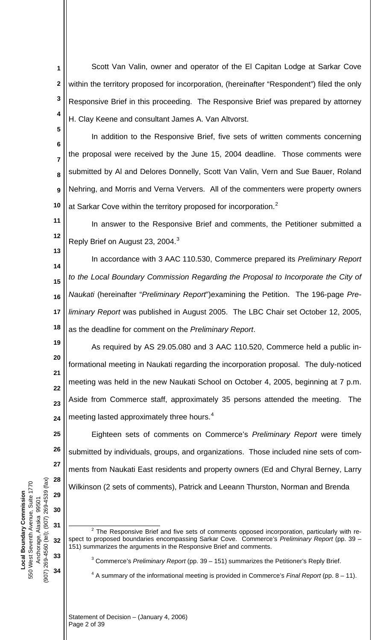**1 2 3 4** Scott Van Valin, owner and operator of the El Capitan Lodge at Sarkar Cove within the territory proposed for incorporation, (hereinafter "Respondent") filed the only Responsive Brief in this proceeding. The Responsive Brief was prepared by attorney H. Clay Keene and consultant James A. Van Altvorst.

**5**

**13**

**25**

**26**

**27**

**28**

**6 7 8 9 10** In addition to the Responsive Brief, five sets of written comments concerning the proposal were received by the June 15, 2004 deadline. Those comments were submitted by Al and Delores Donnelly, Scott Van Valin, Vern and Sue Bauer, Roland Nehring, and Morris and Verna Ververs. All of the commenters were property owners at Sarkar Cove within the territory proposed for incorporation.<sup>[2](#page-1-0)</sup>

**11 12** In answer to the Responsive Brief and comments, the Petitioner submitted a Reply Brief on August 2[3](#page-1-1), 2004.<sup>3</sup>

**14 15 16 17 18** In accordance with 3 AAC 110.530, Commerce prepared its *Preliminary Report to the Local Boundary Commission Regarding the Proposal to Incorporate the City of Naukati* (hereinafter "*Preliminary Report*")examining the Petition. The 196-page *Preliminary Report* was published in August 2005. The LBC Chair set October 12, 2005, as the deadline for comment on the *Preliminary Report*.

**19 20 21 22 23 24** As required by AS 29.05.080 and 3 AAC 110.520, Commerce held a public informational meeting in Naukati regarding the incorporation proposal. The duly-noticed meeting was held in the new Naukati School on October 4, 2005, beginning at 7 p.m. Aside from Commerce staff, approximately 35 persons attended the meeting. The meeting lasted approximately three hours.<sup>[4](#page-1-2)</sup>

Eighteen sets of comments on Commerce's *Preliminary Report* were timely submitted by individuals, groups, and organizations. Those included nine sets of comments from Naukati East residents and property owners (Ed and Chyral Berney, Larry Wilkinson (2 sets of comments), Patrick and Leeann Thurston, Norman and Brenda

- <span id="page-1-2"></span><span id="page-1-1"></span> $\overline{a}$  $2$  The Responsive Brief and five sets of comments opposed incorporation, particularly with respect to proposed boundaries encompassing Sarkar Cove. Commerce's *Preliminary Report* (pp. 39 – 151) summarizes the arguments in the Responsive Brief and comments.
	- 3 Commerce's *Preliminary Report* (pp. 39 151) summarizes the Petitioner's Reply Brief.

4 A summary of the informational meeting is provided in Commerce's *Final Report* (pp. 8 – 11).

<span id="page-1-0"></span>(907) 269-4560 (tel); (907) 269-4539 (fax) (907) 269-4560 (tel); (907) 269-4539 (fax) 550 West Seventh Avenue, Suite 1770 550 West Seventh Avenue, Suite 1770 **Local Boundary Commission**  Local Boundary Commission **29** Anchorage, Alaska 99501 Anchorage, Alaska 99501 **30 31 32 33 34**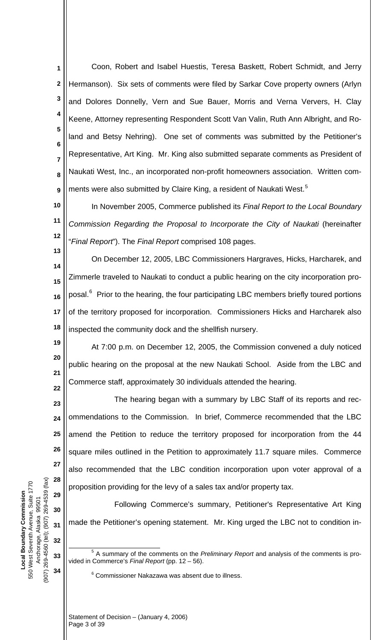**1 2 3 4 5 6 7 8 9** Coon, Robert and Isabel Huestis, Teresa Baskett, Robert Schmidt, and Jerry Hermanson). Six sets of comments were filed by Sarkar Cove property owners (Arlyn and Dolores Donnelly, Vern and Sue Bauer, Morris and Verna Ververs, H. Clay Keene, Attorney representing Respondent Scott Van Valin, Ruth Ann Albright, and Roland and Betsy Nehring). One set of comments was submitted by the Petitioner's Representative, Art King. Mr. King also submitted separate comments as President of Naukati West, Inc., an incorporated non-profit homeowners association. Written com-ments were also submitted by Claire King, a resident of Naukati West.<sup>[5](#page-2-0)</sup>

**10 11 12** In November 2005, Commerce published its *Final Report to the Local Boundary Commission Regarding the Proposal to Incorporate the City of Naukati* (hereinafter "*Final Report*"). The *Final Report* comprised 108 pages.

**14 15 16 17 18** On December 12, 2005, LBC Commissioners Hargraves, Hicks, Harcharek, and Zimmerle traveled to Naukati to conduct a public hearing on the city incorporation pro-posal.<sup>[6](#page-2-1)</sup> Prior to the hearing, the four participating LBC members briefly toured portions of the territory proposed for incorporation. Commissioners Hicks and Harcharek also inspected the community dock and the shellfish nursery.

**19 20 21 22** At 7:00 p.m. on December 12, 2005, the Commission convened a duly noticed public hearing on the proposal at the new Naukati School. Aside from the LBC and Commerce staff, approximately 30 individuals attended the hearing.

**23 24 25 26 27 28** The hearing began with a summary by LBC Staff of its reports and recommendations to the Commission. In brief, Commerce recommended that the LBC amend the Petition to reduce the territory proposed for incorporation from the 44 square miles outlined in the Petition to approximately 11.7 square miles. Commerce also recommended that the LBC condition incorporation upon voter approval of a proposition providing for the levy of a sales tax and/or property tax.

Following Commerce's summary, Petitioner's Representative Art King made the Petitioner's opening statement. Mr. King urged the LBC not to condition in-

6 Commissioner Nakazawa was absent due to illness.

(907) 269-4560 (tel); (907) 269-4539 (fax) (907) 269-4560 (tel); (907) 269-4539 (fax) 550 West Seventh Avenue, Suite 1770 550 West Seventh Avenue, Suite 1770 **Local Boundary Commission**  Local Boundary Commission Anchorage, Alaska 99501 Anchorage, Alaska 99501

**29**

**30**

**31**

**32**

 $\overline{a}$ 

<span id="page-2-0"></span>**33**

<span id="page-2-1"></span>**34**

<sup>5</sup> A summary of the comments on the *Preliminary Report* and analysis of the comments is provided in Commerce's *Final Report* (pp. 12 – 56).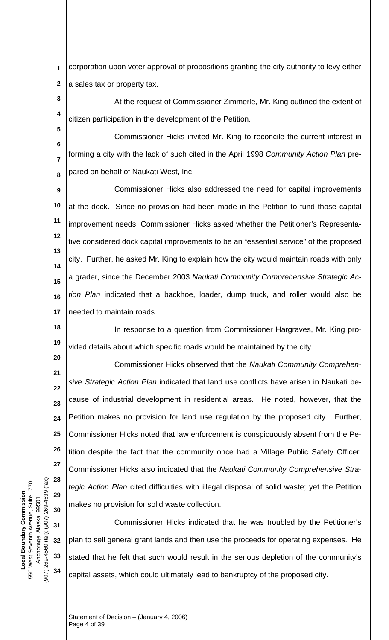corporation upon voter approval of propositions granting the city authority to levy either a sales tax or property tax. **1 2**

**3 4** At the request of Commissioner Zimmerle, Mr. King outlined the extent of citizen participation in the development of the Petition.

**6 7 8** Commissioner Hicks invited Mr. King to reconcile the current interest in forming a city with the lack of such cited in the April 1998 *Community Action Plan* prepared on behalf of Naukati West, Inc.

**9 10 11 12 13 14 15 16 17** Commissioner Hicks also addressed the need for capital improvements at the dock. Since no provision had been made in the Petition to fund those capital improvement needs, Commissioner Hicks asked whether the Petitioner's Representative considered dock capital improvements to be an "essential service" of the proposed city. Further, he asked Mr. King to explain how the city would maintain roads with only a grader, since the December 2003 *Naukati Community Comprehensive Strategic Action Plan* indicated that a backhoe, loader, dump truck, and roller would also be needed to maintain roads.

**18 19** In response to a question from Commissioner Hargraves, Mr. King provided details about which specific roads would be maintained by the city.

**21 22 24 25 26 28 29 30** Commissioner Hicks observed that the *Naukati Community Comprehensive Strategic Action Plan* indicated that land use conflicts have arisen in Naukati because of industrial development in residential areas. He noted, however, that the Petition makes no provision for land use regulation by the proposed city. Further, Commissioner Hicks noted that law enforcement is conspicuously absent from the Petition despite the fact that the community once had a Village Public Safety Officer. Commissioner Hicks also indicated that the *Naukati Community Comprehensive Strategic Action Plan* cited difficulties with illegal disposal of solid waste; yet the Petition makes no provision for solid waste collection.

**32 33 34** Commissioner Hicks indicated that he was troubled by the Petitioner's plan to sell general grant lands and then use the proceeds for operating expenses. He stated that he felt that such would result in the serious depletion of the community's capital assets, which could ultimately lead to bankruptcy of the proposed city.

(907) 269-4560 (tel); (907) 269-4539 (fax) (907) 269-4560 (tel); (907) 269-4539 (fax) 550 West Seventh Avenue, Suite 1770 550 West Seventh Avenue, Suite 1770 **Local Boundary Commission**  Local Boundary Commission Anchorage, Alaska 99501 Anchorage, Alaska 99501

**5**

**20**

**23**

**27**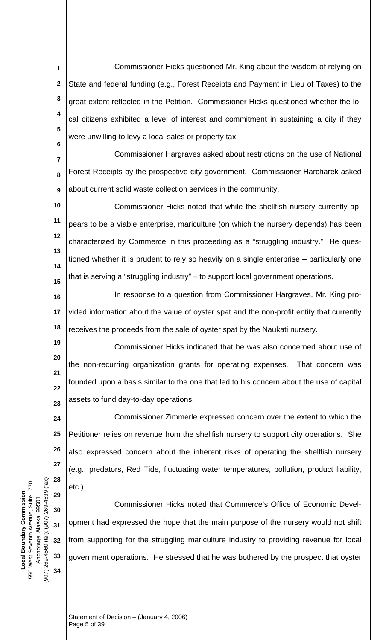Commissioner Hicks questioned Mr. King about the wisdom of relying on State and federal funding (e.g., Forest Receipts and Payment in Lieu of Taxes) to the great extent reflected in the Petition. Commissioner Hicks questioned whether the local citizens exhibited a level of interest and commitment in sustaining a city if they were unwilling to levy a local sales or property tax. **1 2 3 4 5 6**

**7 8 9** Commissioner Hargraves asked about restrictions on the use of National Forest Receipts by the prospective city government. Commissioner Harcharek asked about current solid waste collection services in the community.

**10 11 12 13 14 15** Commissioner Hicks noted that while the shellfish nursery currently appears to be a viable enterprise, mariculture (on which the nursery depends) has been characterized by Commerce in this proceeding as a "struggling industry." He questioned whether it is prudent to rely so heavily on a single enterprise – particularly one that is serving a "struggling industry" – to support local government operations.

**16 17 18** In response to a question from Commissioner Hargraves, Mr. King provided information about the value of oyster spat and the non-profit entity that currently receives the proceeds from the sale of oyster spat by the Naukati nursery.

**19 20 21 22 23** Commissioner Hicks indicated that he was also concerned about use of the non-recurring organization grants for operating expenses. That concern was founded upon a basis similar to the one that led to his concern about the use of capital assets to fund day-to-day operations.

**24 25 26 27 28 29** Commissioner Zimmerle expressed concern over the extent to which the Petitioner relies on revenue from the shellfish nursery to support city operations. She also expressed concern about the inherent risks of operating the shellfish nursery (e.g., predators, Red Tide, fluctuating water temperatures, pollution, product liability, etc.).

 Commissioner Hicks noted that Commerce's Office of Economic Development had expressed the hope that the main purpose of the nursery would not shift from supporting for the struggling mariculture industry to providing revenue for local government operations. He stressed that he was bothered by the prospect that oyster

(907) 269-4560 (tel); (907) 269-4539 (fax) (907) 269-4560 (tel); (907) 269-4539 (fax) 550 West Seventh Avenue, Suite 1770 550 West Seventh Avenue, Suite 1770 **Local Boundary Commission**  Local Boundary Commission Anchorage, Alaska 99501 Anchorage, Alaska 99501

**30**

**31**

**32**

**33**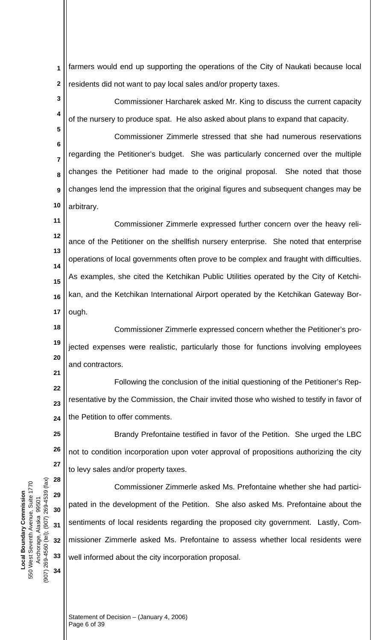farmers would end up supporting the operations of the City of Naukati because local residents did not want to pay local sales and/or property taxes. **1 2**

**3 4** Commissioner Harcharek asked Mr. King to discuss the current capacity of the nursery to produce spat. He also asked about plans to expand that capacity.

**6 7 8 9 10** Commissioner Zimmerle stressed that she had numerous reservations regarding the Petitioner's budget. She was particularly concerned over the multiple changes the Petitioner had made to the original proposal. She noted that those changes lend the impression that the original figures and subsequent changes may be arbitrary.

**11 12 13 14 15 16 17** Commissioner Zimmerle expressed further concern over the heavy reliance of the Petitioner on the shellfish nursery enterprise. She noted that enterprise operations of local governments often prove to be complex and fraught with difficulties. As examples, she cited the Ketchikan Public Utilities operated by the City of Ketchikan, and the Ketchikan International Airport operated by the Ketchikan Gateway Borough.

**18 19 20** Commissioner Zimmerle expressed concern whether the Petitioner's projected expenses were realistic, particularly those for functions involving employees and contractors.

**22 23 24** Following the conclusion of the initial questioning of the Petitioner's Representative by the Commission, the Chair invited those who wished to testify in favor of the Petition to offer comments.

**25 26 27** Brandy Prefontaine testified in favor of the Petition. She urged the LBC not to condition incorporation upon voter approval of propositions authorizing the city to levy sales and/or property taxes.

Commissioner Zimmerle asked Ms. Prefontaine whether she had participated in the development of the Petition. She also asked Ms. Prefontaine about the sentiments of local residents regarding the proposed city government. Lastly, Commissioner Zimmerle asked Ms. Prefontaine to assess whether local residents were well informed about the city incorporation proposal.

(907) 269-4560 (tel); (907) 269-4539 (fax) (907) 269-4560 (tel); (907) 269-4539 (fax) 550 West Seventh Avenue, Suite 1770 550 West Seventh Avenue, Suite 1770 **Local Boundary Commission**  Local Boundary Commission Anchorage, Alaska 99501 Anchorage, Alaska 99501

**5**

**21**

**28**

**29**

**30**

**31**

**32**

**33**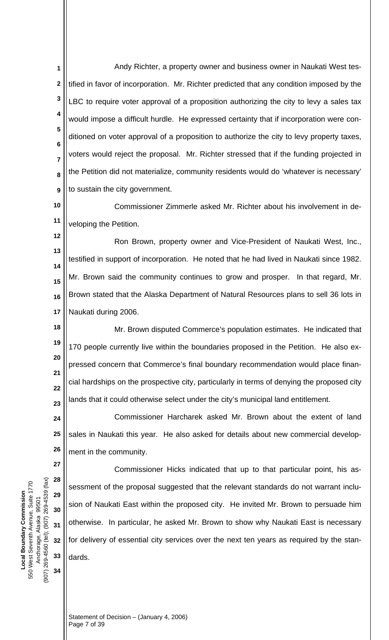Andy Richter, a property owner and business owner in Naukati West testified in favor of incorporation. Mr. Richter predicted that any condition imposed by the LBC to require voter approval of a proposition authorizing the city to levy a sales tax would impose a difficult hurdle. He expressed certainty that if incorporation were conditioned on voter approval of a proposition to authorize the city to levy property taxes, voters would reject the proposal. Mr. Richter stressed that if the funding projected in the Petition did not materialize, community residents would do 'whatever is necessary' to sustain the city government. **1 2 3 4 5 6 7 8 9**

**10 11** Commissioner Zimmerle asked Mr. Richter about his involvement in developing the Petition.

**12 13 14 15 16 17** Ron Brown, property owner and Vice-President of Naukati West, Inc., testified in support of incorporation. He noted that he had lived in Naukati since 1982. Mr. Brown said the community continues to grow and prosper. In that regard, Mr. Brown stated that the Alaska Department of Natural Resources plans to sell 36 lots in Naukati during 2006.

**18 19 20 21 22 23** Mr. Brown disputed Commerce's population estimates. He indicated that 170 people currently live within the boundaries proposed in the Petition. He also expressed concern that Commerce's final boundary recommendation would place financial hardships on the prospective city, particularly in terms of denying the proposed city lands that it could otherwise select under the city's municipal land entitlement.

**24 25 26** Commissioner Harcharek asked Mr. Brown about the extent of land sales in Naukati this year. He also asked for details about new commercial development in the community.

Commissioner Hicks indicated that up to that particular point, his assessment of the proposal suggested that the relevant standards do not warrant inclusion of Naukati East within the proposed city. He invited Mr. Brown to persuade him otherwise. In particular, he asked Mr. Brown to show why Naukati East is necessary for delivery of essential city services over the next ten years as required by the standards.

(907) 269-4560 (tel); (907) 269-4539 (fax) (907) 269-4560 (tel); (907) 269-4539 (fax) 550 West Seventh Avenue, Suite 1770 550 West Seventh Avenue, Suite 1770 **Local Boundary Commission**  Local Boundary Commission Anchorage, Alaska 99501 Anchorage, Alaska 99501

**27**

**28**

**29**

**30**

**31**

**32**

**33**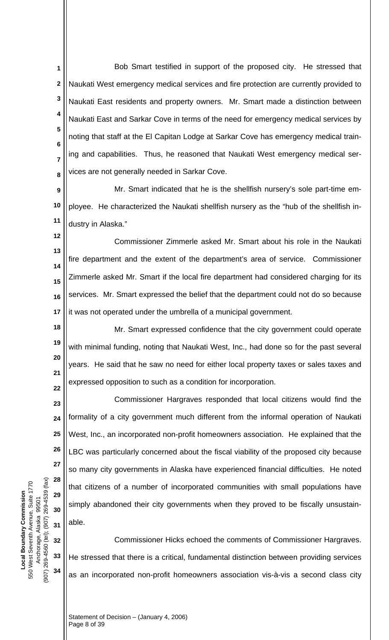Bob Smart testified in support of the proposed city. He stressed that Naukati West emergency medical services and fire protection are currently provided to Naukati East residents and property owners. Mr. Smart made a distinction between Naukati East and Sarkar Cove in terms of the need for emergency medical services by noting that staff at the El Capitan Lodge at Sarkar Cove has emergency medical training and capabilities. Thus, he reasoned that Naukati West emergency medical services are not generally needed in Sarkar Cove. **1 2 3 4 5 6 7 8**

**9 10 11** Mr. Smart indicated that he is the shellfish nursery's sole part-time employee. He characterized the Naukati shellfish nursery as the "hub of the shellfish industry in Alaska."

**12 13 14 15 16 17** Commissioner Zimmerle asked Mr. Smart about his role in the Naukati fire department and the extent of the department's area of service. Commissioner Zimmerle asked Mr. Smart if the local fire department had considered charging for its services. Mr. Smart expressed the belief that the department could not do so because it was not operated under the umbrella of a municipal government.

**18 19 20 21 22** Mr. Smart expressed confidence that the city government could operate with minimal funding, noting that Naukati West, Inc., had done so for the past several years. He said that he saw no need for either local property taxes or sales taxes and expressed opposition to such as a condition for incorporation.

**23 24 25 26 28 29 30 31** Commissioner Hargraves responded that local citizens would find the formality of a city government much different from the informal operation of Naukati West, Inc., an incorporated non-profit homeowners association. He explained that the LBC was particularly concerned about the fiscal viability of the proposed city because so many city governments in Alaska have experienced financial difficulties. He noted that citizens of a number of incorporated communities with small populations have simply abandoned their city governments when they proved to be fiscally unsustainable.

**32 33 34** Commissioner Hicks echoed the comments of Commissioner Hargraves. He stressed that there is a critical, fundamental distinction between providing services as an incorporated non-profit homeowners association vis-à-vis a second class city

(907) 269-4560 (tel); (907) 269-4539 (fax) (907) 269-4560 (tel); (907) 269-4539 (fax) 550 West Seventh Avenue, Suite 1770 550 West Seventh Avenue, Suite 1770 **Local Boundary Commission**  Local Boundary Commission Anchorage, Alaska 99501 Anchorage, Alaska 99501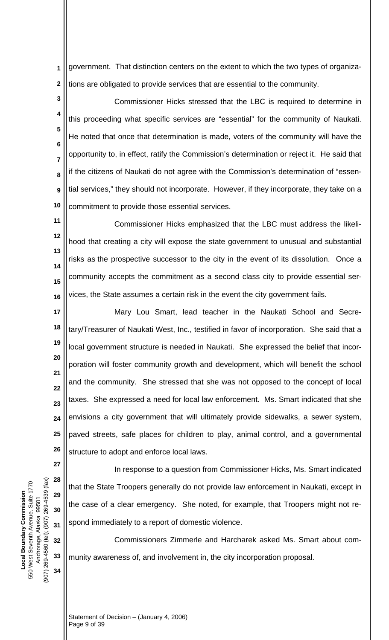government. That distinction centers on the extent to which the two types of organizations are obligated to provide services that are essential to the community. **1 2**

**3 4 5 6 7 8 9 10** Commissioner Hicks stressed that the LBC is required to determine in this proceeding what specific services are "essential" for the community of Naukati. He noted that once that determination is made, voters of the community will have the opportunity to, in effect, ratify the Commission's determination or reject it. He said that if the citizens of Naukati do not agree with the Commission's determination of "essential services," they should not incorporate. However, if they incorporate, they take on a commitment to provide those essential services.

**11 12 13 14 15 16** Commissioner Hicks emphasized that the LBC must address the likelihood that creating a city will expose the state government to unusual and substantial risks as the prospective successor to the city in the event of its dissolution. Once a community accepts the commitment as a second class city to provide essential services, the State assumes a certain risk in the event the city government fails.

**17 18 19 20 21 22 23 24 25 26** Mary Lou Smart, lead teacher in the Naukati School and Secretary/Treasurer of Naukati West, Inc., testified in favor of incorporation. She said that a local government structure is needed in Naukati. She expressed the belief that incorporation will foster community growth and development, which will benefit the school and the community. She stressed that she was not opposed to the concept of local taxes. She expressed a need for local law enforcement. Ms. Smart indicated that she envisions a city government that will ultimately provide sidewalks, a sewer system, paved streets, safe places for children to play, animal control, and a governmental structure to adopt and enforce local laws.

(907) 269-4560 (tel); (907) 269-4539 (fax) (907) 269-4560 (tel); (907) 269-4539 (fax) 550 West Seventh Avenue, Suite 1770 550 West Seventh Avenue, Suite 1770 **Local Boundary Commission**  Local Boundary Commission Anchorage, Alaska 99501 Anchorage, Alaska 99501

**27**

**28**

**29**

**30**

**31**

**32**

**33**

**34**

In response to a question from Commissioner Hicks, Ms. Smart indicated that the State Troopers generally do not provide law enforcement in Naukati, except in the case of a clear emergency. She noted, for example, that Troopers might not respond immediately to a report of domestic violence.

Commissioners Zimmerle and Harcharek asked Ms. Smart about community awareness of, and involvement in, the city incorporation proposal.

Statement of Decision – (January 4, 2006) Page 9 of 39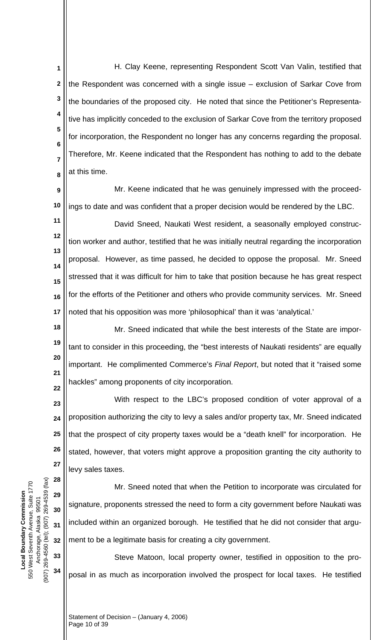H. Clay Keene, representing Respondent Scott Van Valin, testified that the Respondent was concerned with a single issue – exclusion of Sarkar Cove from the boundaries of the proposed city. He noted that since the Petitioner's Representative has implicitly conceded to the exclusion of Sarkar Cove from the territory proposed for incorporation, the Respondent no longer has any concerns regarding the proposal. Therefore, Mr. Keene indicated that the Respondent has nothing to add to the debate at this time. **1 2 3 4 5 6 7 8**

**9 10** Mr. Keene indicated that he was genuinely impressed with the proceedings to date and was confident that a proper decision would be rendered by the LBC.

**11 12 13 14 15 16 17** David Sneed, Naukati West resident, a seasonally employed construction worker and author, testified that he was initially neutral regarding the incorporation proposal. However, as time passed, he decided to oppose the proposal. Mr. Sneed stressed that it was difficult for him to take that position because he has great respect for the efforts of the Petitioner and others who provide community services. Mr. Sneed noted that his opposition was more 'philosophical' than it was 'analytical.'

**18 19 20 21 22** Mr. Sneed indicated that while the best interests of the State are important to consider in this proceeding, the "best interests of Naukati residents" are equally important. He complimented Commerce's *Final Report*, but noted that it "raised some hackles" among proponents of city incorporation.

**23 24 25 26 27** With respect to the LBC's proposed condition of voter approval of a proposition authorizing the city to levy a sales and/or property tax, Mr. Sneed indicated that the prospect of city property taxes would be a "death knell" for incorporation. He stated, however, that voters might approve a proposition granting the city authority to levy sales taxes.

Mr. Sneed noted that when the Petition to incorporate was circulated for signature, proponents stressed the need to form a city government before Naukati was included within an organized borough. He testified that he did not consider that argument to be a legitimate basis for creating a city government.

Steve Matoon, local property owner, testified in opposition to the proposal in as much as incorporation involved the prospect for local taxes. He testified

Statement of Decision – (January 4, 2006) Page 10 of 39

(907) 269-4560 (tel); (907) 269-4539 (fax) (907) 269-4560 (tel); (907) 269-4539 (fax) 550 West Seventh Avenue, Suite 1770 550 West Seventh Avenue, Suite 1770 **Local Boundary Commission**  Local Boundary Commission Anchorage, Alaska 99501 Anchorage, Alaska 99501

**28**

**29**

**30**

**31**

**32**

**33**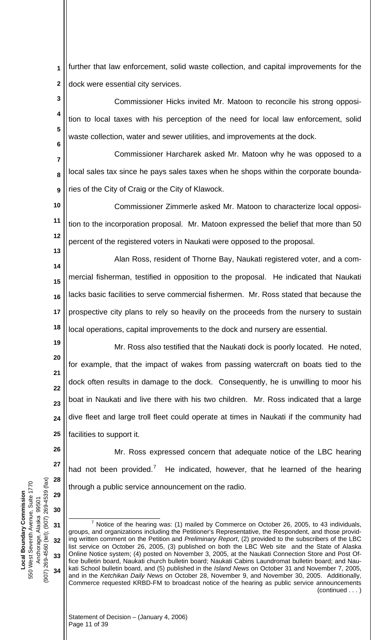further that law enforcement, solid waste collection, and capital improvements for the dock were essential city services. **1 2**

Commissioner Hicks invited Mr. Matoon to reconcile his strong opposition to local taxes with his perception of the need for local law enforcement, solid waste collection, water and sewer utilities, and improvements at the dock. **3 4 5 6**

Commissioner Harcharek asked Mr. Matoon why he was opposed to a local sales tax since he pays sales taxes when he shops within the corporate boundaries of the City of Craig or the City of Klawock. **7 8 9**

Commissioner Zimmerle asked Mr. Matoon to characterize local opposition to the incorporation proposal. Mr. Matoon expressed the belief that more than 50 percent of the registered voters in Naukati were opposed to the proposal. **10 11 12**

Alan Ross, resident of Thorne Bay, Naukati registered voter, and a commercial fisherman, testified in opposition to the proposal. He indicated that Naukati lacks basic facilities to serve commercial fishermen. Mr. Ross stated that because the prospective city plans to rely so heavily on the proceeds from the nursery to sustain local operations, capital improvements to the dock and nursery are essential. **14 15 16 17 18**

**19 20**

**22**

**23**

**26**

**27**

**28**

**13**

Mr. Ross also testified that the Naukati dock is poorly located. He noted, for example, that the impact of wakes from passing watercraft on boats tied to the dock often results in damage to the dock. Consequently, he is unwilling to moor his boat in Naukati and live there with his two children. Mr. Ross indicated that a large dive fleet and large troll fleet could operate at times in Naukati if the community had facilities to support it. **21 24 25**

Mr. Ross expressed concern that adequate notice of the LBC hearing had not been provided.<sup>[7](#page-10-0)</sup> He indicated, however, that he learned of the hearing through a public service announcement on the radio.

<span id="page-10-0"></span>(907) 269-4560 (tel); (907) 269-4539 (fax)  $(907)$  269-4539 (fax) 550 West Seventh Avenue, Suite 1770 550 West Seventh Avenue, Suite 1770 **Local Boundary Commission**  Local Boundary Commission **29** Anchorage, Alaska 99501 99501 **30** Anchorage, Alaska **31** (907) 269-4560 (tel); **32 33 34**

 $\overline{a}$ 

(continued . . . )  $<sup>7</sup>$  Notice of the hearing was: (1) mailed by Commerce on October 26, 2005, to 43 individuals,</sup> groups, and organizations including the Petitioner's Representative, the Respondent, and those providing written comment on the Petition and *Preliminary Report*, (2) provided to the subscribers of the LBC list service on October 26, 2005, (3) published on both the LBC Web site and the State of Alaska Online Notice system; (4) posted on November 3, 2005, at the Naukati Connection Store and Post Office bulletin board, Naukati church bulletin board; Naukati Cabins Laundromat bulletin board; and Naukati School bulletin board, and (5) published in the *Island News* on October 31 and November 7, 2005, and in the *Ketchikan Daily News* on October 28, November 9, and November 30, 2005. Additionally, Commerce requested KRBD-FM to broadcast notice of the hearing as public service announcements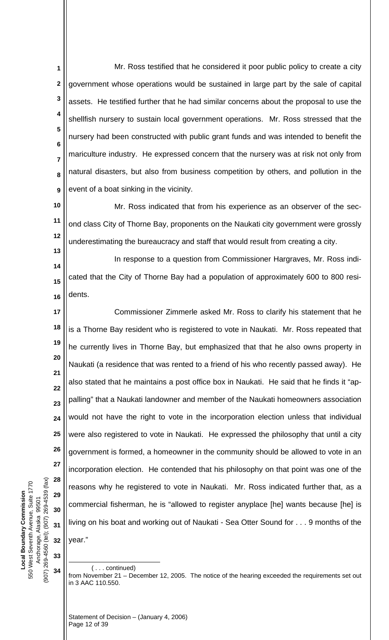**1 2 3 4 5 6 7 8 9** Mr. Ross testified that he considered it poor public policy to create a city government whose operations would be sustained in large part by the sale of capital assets. He testified further that he had similar concerns about the proposal to use the shellfish nursery to sustain local government operations. Mr. Ross stressed that the nursery had been constructed with public grant funds and was intended to benefit the mariculture industry. He expressed concern that the nursery was at risk not only from natural disasters, but also from business competition by others, and pollution in the event of a boat sinking in the vicinity.

**10 11 12** Mr. Ross indicated that from his experience as an observer of the second class City of Thorne Bay, proponents on the Naukati city government were grossly underestimating the bureaucracy and staff that would result from creating a city.

**14 15 16** In response to a question from Commissioner Hargraves, Mr. Ross indicated that the City of Thorne Bay had a population of approximately 600 to 800 residents.

**17 18 19 20 21 22 23 24 25 26 27 28 29 30 31 32** Commissioner Zimmerle asked Mr. Ross to clarify his statement that he is a Thorne Bay resident who is registered to vote in Naukati. Mr. Ross repeated that he currently lives in Thorne Bay, but emphasized that that he also owns property in Naukati (a residence that was rented to a friend of his who recently passed away). He also stated that he maintains a post office box in Naukati. He said that he finds it "appalling" that a Naukati landowner and member of the Naukati homeowners association would not have the right to vote in the incorporation election unless that individual were also registered to vote in Naukati. He expressed the philosophy that until a city government is formed, a homeowner in the community should be allowed to vote in an incorporation election. He contended that his philosophy on that point was one of the reasons why he registered to vote in Naukati. Mr. Ross indicated further that, as a commercial fisherman, he is "allowed to register anyplace [he] wants because [he] is living on his boat and working out of Naukati - Sea Otter Sound for . . . 9 months of the year."

( . . . continued)

 $\overline{a}$ 

from November 21 – December 12, 2005. The notice of the hearing exceeded the requirements set out in 3 AAC 110.550.

(907) 269-4560 (tel); (907) 269-4539 (fax) (907) 269-4560 (tel); (907) 269-4539 (fax) 550 West Seventh Avenue, Suite 1770 550 West Seventh Avenue, Suite 1770 **Local Boundary Commission**  Local Boundary Commission Anchorage, Alaska 99501 Anchorage, Alaska 99501 **33 34**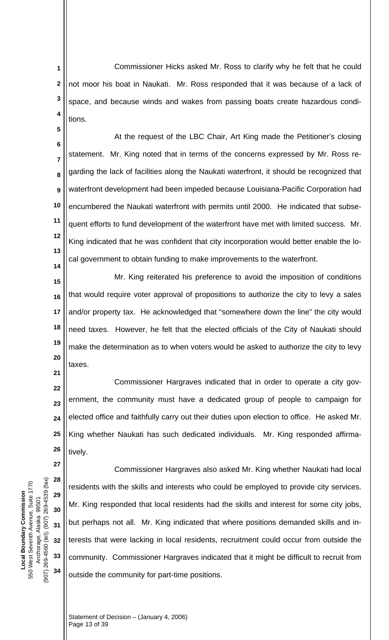Commissioner Hicks asked Mr. Ross to clarify why he felt that he could not moor his boat in Naukati. Mr. Ross responded that it was because of a lack of space, and because winds and wakes from passing boats create hazardous conditions. **1 2 3 4**

**6 7 8 9 10 11 12 13 14** At the request of the LBC Chair, Art King made the Petitioner's closing statement. Mr. King noted that in terms of the concerns expressed by Mr. Ross regarding the lack of facilities along the Naukati waterfront, it should be recognized that waterfront development had been impeded because Louisiana-Pacific Corporation had encumbered the Naukati waterfront with permits until 2000. He indicated that subsequent efforts to fund development of the waterfront have met with limited success. Mr. King indicated that he was confident that city incorporation would better enable the local government to obtain funding to make improvements to the waterfront.

**15 16 17 18 19 20** Mr. King reiterated his preference to avoid the imposition of conditions that would require voter approval of propositions to authorize the city to levy a sales and/or property tax. He acknowledged that "somewhere down the line" the city would need taxes. However, he felt that the elected officials of the City of Naukati should make the determination as to when voters would be asked to authorize the city to levy taxes.

**22 23 24 25 26** Commissioner Hargraves indicated that in order to operate a city government, the community must have a dedicated group of people to campaign for elected office and faithfully carry out their duties upon election to office. He asked Mr. King whether Naukati has such dedicated individuals. Mr. King responded affirmatively.

Commissioner Hargraves also asked Mr. King whether Naukati had local residents with the skills and interests who could be employed to provide city services. Mr. King responded that local residents had the skills and interest for some city jobs, but perhaps not all. Mr. King indicated that where positions demanded skills and interests that were lacking in local residents, recruitment could occur from outside the community. Commissioner Hargraves indicated that it might be difficult to recruit from outside the community for part-time positions.

(907) 269-4560 (tel); (907) 269-4539 (fax) (907) 269-4560 (tel); (907) 269-4539 (fax) 550 West Seventh Avenue, Suite 1770 550 West Seventh Avenue, Suite 1770 **Local Boundary Commission**  Local Boundary Commission Anchorage, Alaska 99501 Anchorage, Alaska 99501

**5**

**21**

**27**

**28**

**29**

**30**

**31**

**32**

**33**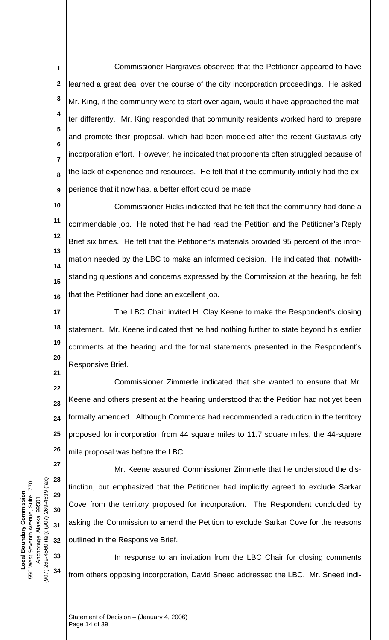Commissioner Hargraves observed that the Petitioner appeared to have learned a great deal over the course of the city incorporation proceedings. He asked Mr. King, if the community were to start over again, would it have approached the matter differently. Mr. King responded that community residents worked hard to prepare and promote their proposal, which had been modeled after the recent Gustavus city incorporation effort. However, he indicated that proponents often struggled because of the lack of experience and resources. He felt that if the community initially had the experience that it now has, a better effort could be made. **1 2 3 4 5 6 7 8 9**

**10 11 12 13 14 15 16** Commissioner Hicks indicated that he felt that the community had done a commendable job. He noted that he had read the Petition and the Petitioner's Reply Brief six times. He felt that the Petitioner's materials provided 95 percent of the information needed by the LBC to make an informed decision. He indicated that, notwithstanding questions and concerns expressed by the Commission at the hearing, he felt that the Petitioner had done an excellent job.

**17 18 19 20** The LBC Chair invited H. Clay Keene to make the Respondent's closing statement. Mr. Keene indicated that he had nothing further to state beyond his earlier comments at the hearing and the formal statements presented in the Respondent's Responsive Brief.

**22 23 24 25 26** Commissioner Zimmerle indicated that she wanted to ensure that Mr. Keene and others present at the hearing understood that the Petition had not yet been formally amended. Although Commerce had recommended a reduction in the territory proposed for incorporation from 44 square miles to 11.7 square miles, the 44-square mile proposal was before the LBC.

**27 28 29 30 31 32** Mr. Keene assured Commissioner Zimmerle that he understood the distinction, but emphasized that the Petitioner had implicitly agreed to exclude Sarkar Cove from the territory proposed for incorporation. The Respondent concluded by asking the Commission to amend the Petition to exclude Sarkar Cove for the reasons outlined in the Responsive Brief.

In response to an invitation from the LBC Chair for closing comments from others opposing incorporation, David Sneed addressed the LBC. Mr. Sneed indi-

(907) 269-4560 (tel); (907) 269-4539 (fax) (907) 269-4560 (tel); (907) 269-4539 (fax) 550 West Seventh Avenue, Suite 1770 550 West Seventh Avenue, Suite 1770 **Local Boundary Commission**  Local Boundary Commission Anchorage, Alaska 99501 Anchorage, Alaska 99501

**33**

**34**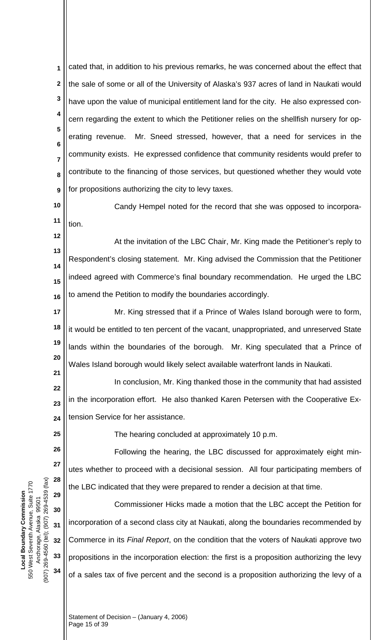cated that, in addition to his previous remarks, he was concerned about the effect that the sale of some or all of the University of Alaska's 937 acres of land in Naukati would have upon the value of municipal entitlement land for the city. He also expressed concern regarding the extent to which the Petitioner relies on the shellfish nursery for operating revenue. Mr. Sneed stressed, however, that a need for services in the community exists. He expressed confidence that community residents would prefer to contribute to the financing of those services, but questioned whether they would vote for propositions authorizing the city to levy taxes. **1 2 3 4 5 6 7 8 9**

**10 11** Candy Hempel noted for the record that she was opposed to incorporation.

**13 14 15 16** At the invitation of the LBC Chair, Mr. King made the Petitioner's reply to Respondent's closing statement. Mr. King advised the Commission that the Petitioner indeed agreed with Commerce's final boundary recommendation. He urged the LBC to amend the Petition to modify the boundaries accordingly.

**17 18 19 20** Mr. King stressed that if a Prince of Wales Island borough were to form, it would be entitled to ten percent of the vacant, unappropriated, and unreserved State lands within the boundaries of the borough. Mr. King speculated that a Prince of Wales Island borough would likely select available waterfront lands in Naukati.

**22 23 24** In conclusion, Mr. King thanked those in the community that had assisted in the incorporation effort. He also thanked Karen Petersen with the Cooperative Extension Service for her assistance.

**25**

**26**

**27**

**28**

**29**

**30**

**31**

**32**

**33**

**34**

**21**

**12**

The hearing concluded at approximately 10 p.m.

Following the hearing, the LBC discussed for approximately eight minutes whether to proceed with a decisional session. All four participating members of the LBC indicated that they were prepared to render a decision at that time.

Commissioner Hicks made a motion that the LBC accept the Petition for incorporation of a second class city at Naukati, along the boundaries recommended by Commerce in its *Final Report*, on the condition that the voters of Naukati approve two propositions in the incorporation election: the first is a proposition authorizing the levy of a sales tax of five percent and the second is a proposition authorizing the levy of a

(907) 269-4560 (tel); (907) 269-4539 (fax) (907) 269-4560 (tel); (907) 269-4539 (fax) 550 West Seventh Avenue, Suite 1770 550 West Seventh Avenue, Suite 1770 **Local Boundary Commission**  Local Boundary Commission Anchorage, Alaska 99501 Anchorage, Alaska 99501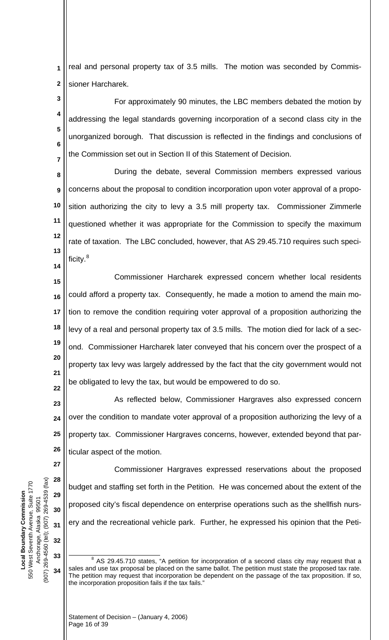**1 2** real and personal property tax of 3.5 mills. The motion was seconded by Commissioner Harcharek.

**3 4 5 6 7** For approximately 90 minutes, the LBC members debated the motion by addressing the legal standards governing incorporation of a second class city in the unorganized borough. That discussion is reflected in the findings and conclusions of the Commission set out in Section II of this Statement of Decision.

**8 9 10 11 12 13** During the debate, several Commission members expressed various concerns about the proposal to condition incorporation upon voter approval of a proposition authorizing the city to levy a 3.5 mill property tax. Commissioner Zimmerle questioned whether it was appropriate for the Commission to specify the maximum rate of taxation. The LBC concluded, however, that AS 29.45.710 requires such speci-ficity.<sup>[8](#page-15-0)</sup>

**15 16 17 18 19 20 21 22** Commissioner Harcharek expressed concern whether local residents could afford a property tax. Consequently, he made a motion to amend the main motion to remove the condition requiring voter approval of a proposition authorizing the levy of a real and personal property tax of 3.5 mills. The motion died for lack of a second. Commissioner Harcharek later conveyed that his concern over the prospect of a property tax levy was largely addressed by the fact that the city government would not be obligated to levy the tax, but would be empowered to do so.

**23 24 25 26** As reflected below, Commissioner Hargraves also expressed concern over the condition to mandate voter approval of a proposition authorizing the levy of a property tax. Commissioner Hargraves concerns, however, extended beyond that particular aspect of the motion.

Commissioner Hargraves expressed reservations about the proposed budget and staffing set forth in the Petition. He was concerned about the extent of the proposed city's fiscal dependence on enterprise operations such as the shellfish nursery and the recreational vehicle park. Further, he expressed his opinion that the Peti-

(907) 269-4560 (tel); (907) 269-4539 (fax) (907) 269-4560 (tel); (907) 269-4539 (fax) 550 West Seventh Avenue, Suite 1770 550 West Seventh Avenue, Suite 1770 **Local Boundary Commission**  Local Boundary Commission Anchorage, Alaska 99501 99501 Anchorage, Alaska

**27**

**28**

**29**

**30**

**31**

**32**

<span id="page-15-0"></span>**33**

**34**

 $\overline{a}$  $8$  AS 29.45.710 states, "A petition for incorporation of a second class city may request that a sales and use tax proposal be placed on the same ballot. The petition must state the proposed tax rate. The petition may request that incorporation be dependent on the passage of the tax proposition. If so, the incorporation proposition fails if the tax fails."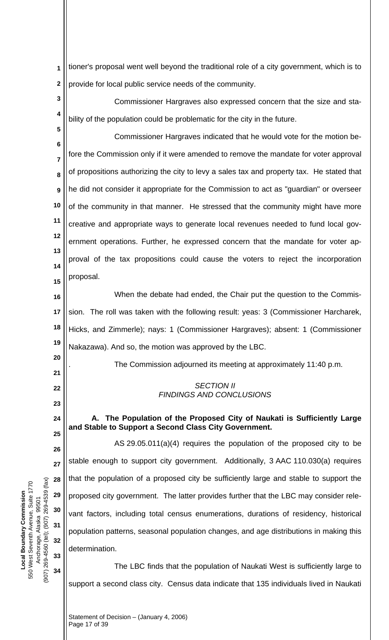tioner's proposal went well beyond the traditional role of a city government, which is to provide for local public service needs of the community. **1 2**

**3 4** Commissioner Hargraves also expressed concern that the size and stability of the population could be problematic for the city in the future.

**6 7 8 9 10 11 12 13 14 15** Commissioner Hargraves indicated that he would vote for the motion before the Commission only if it were amended to remove the mandate for voter approval of propositions authorizing the city to levy a sales tax and property tax. He stated that he did not consider it appropriate for the Commission to act as "guardian" or overseer of the community in that manner. He stressed that the community might have more creative and appropriate ways to generate local revenues needed to fund local government operations. Further, he expressed concern that the mandate for voter approval of the tax propositions could cause the voters to reject the incorporation proposal.

**16 17 18 19** When the debate had ended, the Chair put the question to the Commission. The roll was taken with the following result: yeas: 3 (Commissioner Harcharek, Hicks, and Zimmerle); nays: 1 (Commissioner Hargraves); absent: 1 (Commissioner Nakazawa). And so, the motion was approved by the LBC.

. The Commission adjourned its meeting at approximately 11:40 p.m.

### *SECTION II FINDINGS AND CONCLUSIONS*

**A. The Population of the Proposed City of Naukati is Sufficiently Large and Stable to Support a Second Class City Government.** 

 AS 29.05.011(a)(4) requires the population of the proposed city to be stable enough to support city government. Additionally, 3 AAC 110.030(a) requires that the population of a proposed city be sufficiently large and stable to support the proposed city government. The latter provides further that the LBC may consider relevant factors, including total census enumerations, durations of residency, historical population patterns, seasonal population changes, and age distributions in making this determination.

The LBC finds that the population of Naukati West is sufficiently large to support a second class city. Census data indicate that 135 individuals lived in Naukati

(907) 269-4560 (tel); (907) 269-4539 (fax) (907) 269-4560 (tel); (907) 269-4539 (fax) 550 West Seventh Avenue, Suite 1770 550 West Seventh Avenue, Suite 1770 **Local Boundary Commission**  Local Boundary Commission Anchorage, Alaska 99501 Anchorage, Alaska 99501

**5**

**20**

**21**

**22**

**23**

**24**

**25**

**26**

**27**

**28**

**29**

**30**

**31**

**32**

**33**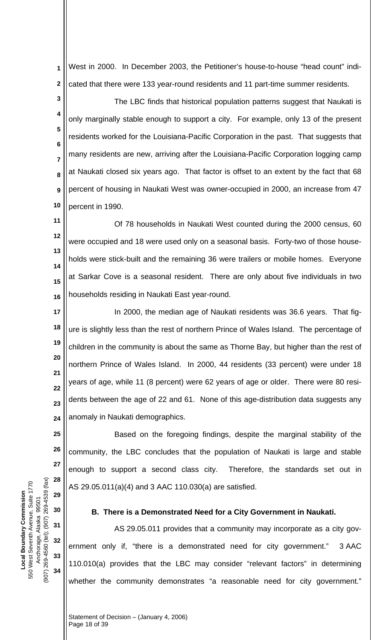West in 2000. In December 2003, the Petitioner's house-to-house "head count" indicated that there were 133 year-round residents and 11 part-time summer residents. **1 2**

**3 4 5 6 7 8 9 10** The LBC finds that historical population patterns suggest that Naukati is only marginally stable enough to support a city. For example, only 13 of the present residents worked for the Louisiana-Pacific Corporation in the past. That suggests that many residents are new, arriving after the Louisiana-Pacific Corporation logging camp at Naukati closed six years ago. That factor is offset to an extent by the fact that 68 percent of housing in Naukati West was owner-occupied in 2000, an increase from 47 percent in 1990.

**11**

**12 13 14 15 16** Of 78 households in Naukati West counted during the 2000 census, 60 were occupied and 18 were used only on a seasonal basis. Forty-two of those households were stick-built and the remaining 36 were trailers or mobile homes. Everyone at Sarkar Cove is a seasonal resident. There are only about five individuals in two households residing in Naukati East year-round.

**17 18 19 20 21 22 23 24** In 2000, the median age of Naukati residents was 36.6 years. That figure is slightly less than the rest of northern Prince of Wales Island. The percentage of children in the community is about the same as Thorne Bay, but higher than the rest of northern Prince of Wales Island. In 2000, 44 residents (33 percent) were under 18 years of age, while 11 (8 percent) were 62 years of age or older. There were 80 residents between the age of 22 and 61. None of this age-distribution data suggests any anomaly in Naukati demographics.

Based on the foregoing findings, despite the marginal stability of the community, the LBC concludes that the population of Naukati is large and stable enough to support a second class city. Therefore, the standards set out in AS 29.05.011(a)(4) and 3 AAC 110.030(a) are satisfied.

## **B. There is a Demonstrated Need for a City Government in Naukati.**

AS 29.05.011 provides that a community may incorporate as a city government only if, "there is a demonstrated need for city government." 3 AAC 110.010(a) provides that the LBC may consider "relevant factors" in determining whether the community demonstrates "a reasonable need for city government."

**25**

**26**

**27**

**28**

**29**

**30**

**31**

**32**

**33**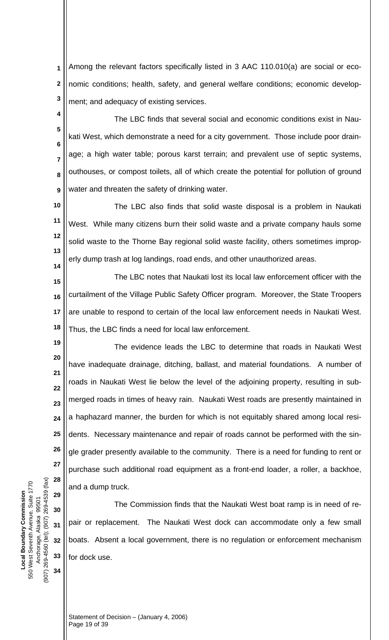Among the relevant factors specifically listed in 3 AAC 110.010(a) are social or economic conditions; health, safety, and general welfare conditions; economic development; and adequacy of existing services. **1 2 3**

**4 5 6 7 8 9** The LBC finds that several social and economic conditions exist in Naukati West, which demonstrate a need for a city government. Those include poor drainage; a high water table; porous karst terrain; and prevalent use of septic systems, outhouses, or compost toilets, all of which create the potential for pollution of ground water and threaten the safety of drinking water.

**10 11 12 13 14** The LBC also finds that solid waste disposal is a problem in Naukati West. While many citizens burn their solid waste and a private company hauls some solid waste to the Thorne Bay regional solid waste facility, others sometimes improperly dump trash at log landings, road ends, and other unauthorized areas.

**15 16 17 18** The LBC notes that Naukati lost its local law enforcement officer with the curtailment of the Village Public Safety Officer program. Moreover, the State Troopers are unable to respond to certain of the local law enforcement needs in Naukati West. Thus, the LBC finds a need for local law enforcement.

**19 20 21 22 23 24 25 26 27 28** The evidence leads the LBC to determine that roads in Naukati West have inadequate drainage, ditching, ballast, and material foundations. A number of roads in Naukati West lie below the level of the adjoining property, resulting in submerged roads in times of heavy rain. Naukati West roads are presently maintained in a haphazard manner, the burden for which is not equitably shared among local residents. Necessary maintenance and repair of roads cannot be performed with the single grader presently available to the community. There is a need for funding to rent or purchase such additional road equipment as a front-end loader, a roller, a backhoe, and a dump truck.

The Commission finds that the Naukati West boat ramp is in need of repair or replacement. The Naukati West dock can accommodate only a few small boats. Absent a local government, there is no regulation or enforcement mechanism for dock use.

(907) 269-4560 (tel); (907) 269-4539 (fax) (907) 269-4560 (tel); (907) 269-4539 (fax) 550 West Seventh Avenue, Suite 1770 550 West Seventh Avenue, Suite 1770 **Local Boundary Commission**  Local Boundary Commission Anchorage, Alaska 99501 Anchorage, Alaska 99501

**29**

**30**

**31**

**32**

**33**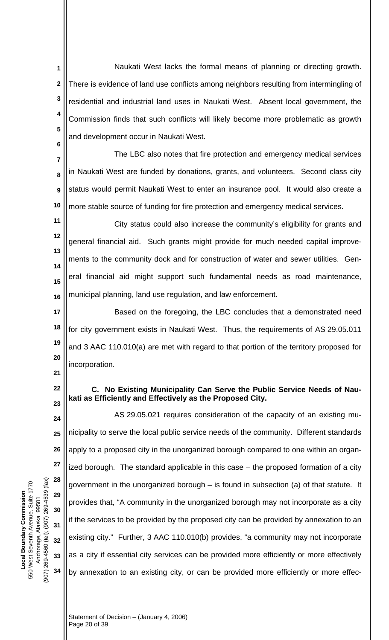Naukati West lacks the formal means of planning or directing growth. There is evidence of land use conflicts among neighbors resulting from intermingling of residential and industrial land uses in Naukati West. Absent local government, the Commission finds that such conflicts will likely become more problematic as growth and development occur in Naukati West. **1 2 3 4 5 6**

**7 8 9 10** The LBC also notes that fire protection and emergency medical services in Naukati West are funded by donations, grants, and volunteers. Second class city status would permit Naukati West to enter an insurance pool. It would also create a more stable source of funding for fire protection and emergency medical services.

**11 12 13 14 15 16** City status could also increase the community's eligibility for grants and general financial aid. Such grants might provide for much needed capital improvements to the community dock and for construction of water and sewer utilities. General financial aid might support such fundamental needs as road maintenance, municipal planning, land use regulation, and law enforcement.

**17 18 19 20** Based on the foregoing, the LBC concludes that a demonstrated need for city government exists in Naukati West. Thus, the requirements of AS 29.05.011 and 3 AAC 110.010(a) are met with regard to that portion of the territory proposed for incorporation.

- **21**
- **22 23**

## **C. No Existing Municipality Can Serve the Public Service Needs of Naukati as Efficiently and Effectively as the Proposed City.**

**24 25 26 27 28 29 30 31 32 33 34** AS 29.05.021 requires consideration of the capacity of an existing municipality to serve the local public service needs of the community. Different standards apply to a proposed city in the unorganized borough compared to one within an organized borough. The standard applicable in this case – the proposed formation of a city government in the unorganized borough – is found in subsection (a) of that statute. It provides that, "A community in the unorganized borough may not incorporate as a city if the services to be provided by the proposed city can be provided by annexation to an existing city." Further, 3 AAC 110.010(b) provides, "a community may not incorporate as a city if essential city services can be provided more efficiently or more effectively by annexation to an existing city, or can be provided more efficiently or more effec-

(907) 269-4560 (tel); (907) 269-4539 (fax) (907) 269-4560 (tel); (907) 269-4539 (fax) 550 West Seventh Avenue, Suite 1770 550 West Seventh Avenue, Suite 1770 **Local Boundary Commission**  Local Boundary Commission Anchorage, Alaska 99501 Anchorage, Alaska 99501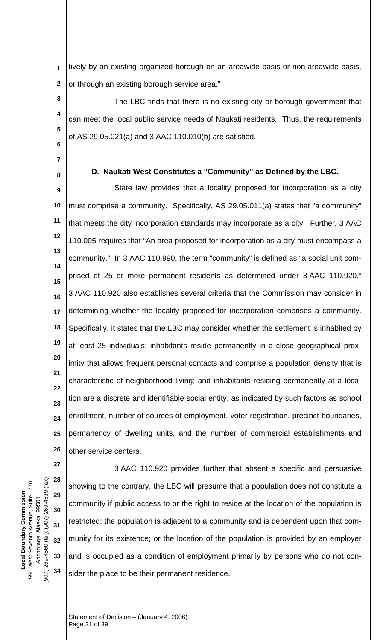tively by an existing organized borough on an areawide basis or non-areawide basis, or through an existing borough service area." **1 2**

**6** The LBC finds that there is no existing city or borough government that can meet the local public service needs of Naukati residents. Thus, the requirements of AS 29.05.021(a) and 3 AAC 110.010(b) are satisfied.

**7 8**

**3**

**4**

**5**

### **D. Naukati West Constitutes a "Community" as Defined by the LBC.**

**9 10 11 12 13 14 15 16 17 18 19 20 21 22 23 24 25 26** State law provides that a locality proposed for incorporation as a city must comprise a community. Specifically, AS 29.05.011(a) states that "a community" that meets the city incorporation standards may incorporate as a city. Further, 3 AAC 110.005 requires that "An area proposed for incorporation as a city must encompass a community." In 3 AAC 110.990, the term "community" is defined as "a social unit comprised of 25 or more permanent residents as determined under 3 AAC 110.920." 3 AAC 110.920 also establishes several criteria that the Commission may consider in determining whether the locality proposed for incorporation comprises a community. Specifically, it states that the LBC may consider whether the settlement is inhabited by at least 25 individuals; inhabitants reside permanently in a close geographical proximity that allows frequent personal contacts and comprise a population density that is characteristic of neighborhood living; and inhabitants residing permanently at a location are a discrete and identifiable social entity, as indicated by such factors as school enrollment, number of sources of employment, voter registration, precinct boundaries, permanency of dwelling units, and the number of commercial establishments and other service centers.

(907) 269-4560 (tel); (907) 269-4539 (fax) (907) 269-4560 (tel); (907) 269-4539 (fax) 550 West Seventh Avenue, Suite 1770 550 West Seventh Avenue, Suite 1770 **Local Boundary Commission**  Local Boundary Commission Anchorage, Alaska 99501 Anchorage, Alaska 99501

**27**

**31**

**32**

**28 29 30 33 34** 3 AAC 110.920 provides further that absent a specific and persuasive showing to the contrary, the LBC will presume that a population does not constitute a community if public access to or the right to reside at the location of the population is restricted; the population is adjacent to a community and is dependent upon that community for its existence; or the location of the population is provided by an employer and is occupied as a condition of employment primarily by persons who do not consider the place to be their permanent residence.

Statement of Decision – (January 4, 2006) Page 21 of 39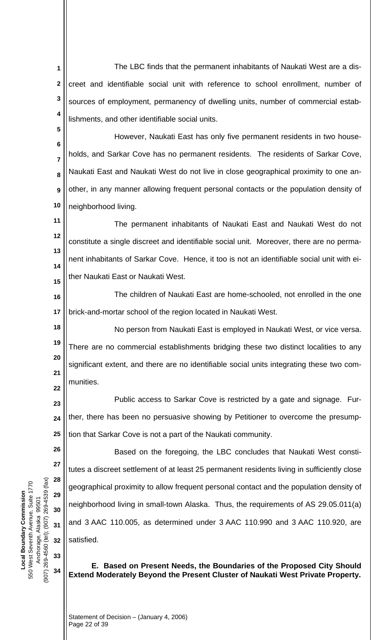The LBC finds that the permanent inhabitants of Naukati West are a discreet and identifiable social unit with reference to school enrollment, number of sources of employment, permanency of dwelling units, number of commercial establishments, and other identifiable social units. **1 2 3 4**

**6 7 8 9 10** However, Naukati East has only five permanent residents in two households, and Sarkar Cove has no permanent residents. The residents of Sarkar Cove, Naukati East and Naukati West do not live in close geographical proximity to one another, in any manner allowing frequent personal contacts or the population density of neighborhood living.

**11 12 13 14 15** The permanent inhabitants of Naukati East and Naukati West do not constitute a single discreet and identifiable social unit. Moreover, there are no permanent inhabitants of Sarkar Cove. Hence, it too is not an identifiable social unit with either Naukati East or Naukati West.

**16 17** The children of Naukati East are home-schooled, not enrolled in the one brick-and-mortar school of the region located in Naukati West.

**18 19 20 21 22** No person from Naukati East is employed in Naukati West, or vice versa. There are no commercial establishments bridging these two distinct localities to any significant extent, and there are no identifiable social units integrating these two communities.

**23 24 25** Public access to Sarkar Cove is restricted by a gate and signage. Further, there has been no persuasive showing by Petitioner to overcome the presumption that Sarkar Cove is not a part of the Naukati community.

(907) 269-4560 (tel); (907) 269-4539 (fax) (907) 269-4560 (tel); (907) 269-4539 (fax) 550 West Seventh Avenue, Suite 1770 550 West Seventh Avenue, Suite 1770 **Local Boundary Commission Local Boundary Commission** Anchorage, Alaska 99501 Anchorage, Alaska 99501

**26**

**27**

**28**

**29**

**30**

**31**

**32**

**33**

**34**

**5**

Based on the foregoing, the LBC concludes that Naukati West constitutes a discreet settlement of at least 25 permanent residents living in sufficiently close geographical proximity to allow frequent personal contact and the population density of neighborhood living in small-town Alaska. Thus, the requirements of AS 29.05.011(a) and 3 AAC 110.005, as determined under 3 AAC 110.990 and 3 AAC 110.920, are satisfied.

**E. Based on Present Needs, the Boundaries of the Proposed City Should Extend Moderately Beyond the Present Cluster of Naukati West Private Property.** 

Statement of Decision – (January 4, 2006) Page 22 of 39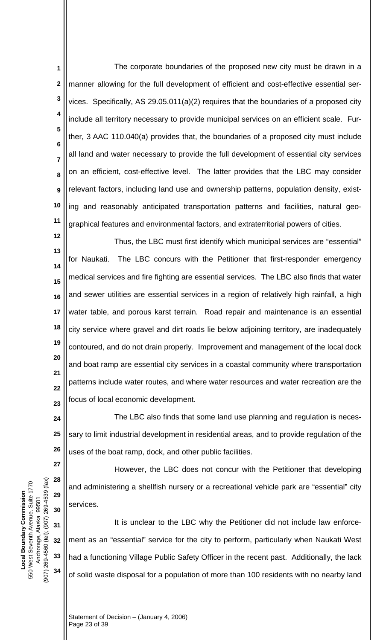The corporate boundaries of the proposed new city must be drawn in a manner allowing for the full development of efficient and cost-effective essential services. Specifically, AS 29.05.011(a)(2) requires that the boundaries of a proposed city include all territory necessary to provide municipal services on an efficient scale. Further, 3 AAC 110.040(a) provides that, the boundaries of a proposed city must include all land and water necessary to provide the full development of essential city services on an efficient, cost-effective level. The latter provides that the LBC may consider relevant factors, including land use and ownership patterns, population density, existing and reasonably anticipated transportation patterns and facilities, natural geographical features and environmental factors, and extraterritorial powers of cities. **1 2 3 4 5 6 7 8 9 10 11**

**12 13 14 15 16 17 18 19 20 21 22 23** Thus, the LBC must first identify which municipal services are "essential" for Naukati. The LBC concurs with the Petitioner that first-responder emergency medical services and fire fighting are essential services. The LBC also finds that water and sewer utilities are essential services in a region of relatively high rainfall, a high water table, and porous karst terrain. Road repair and maintenance is an essential city service where gravel and dirt roads lie below adjoining territory, are inadequately contoured, and do not drain properly. Improvement and management of the local dock and boat ramp are essential city services in a coastal community where transportation patterns include water routes, and where water resources and water recreation are the focus of local economic development.

**24 25 26** The LBC also finds that some land use planning and regulation is necessary to limit industrial development in residential areas, and to provide regulation of the uses of the boat ramp, dock, and other public facilities.

However, the LBC does not concur with the Petitioner that developing and administering a shellfish nursery or a recreational vehicle park are "essential" city services.

**31 32 33 34** It is unclear to the LBC why the Petitioner did not include law enforcement as an "essential" service for the city to perform, particularly when Naukati West had a functioning Village Public Safety Officer in the recent past. Additionally, the lack of solid waste disposal for a population of more than 100 residents with no nearby land

(907) 269-4560 (tel); (907) 269-4539 (fax) (907) 269-4560 (tel); (907) 269-4539 (fax) 550 West Seventh Avenue, Suite 1770 550 West Seventh Avenue, Suite 1770 **Local Boundary Commission**  Local Boundary Commission Anchorage, Alaska 99501 Anchorage, Alaska 99501

**27**

**28**

**29**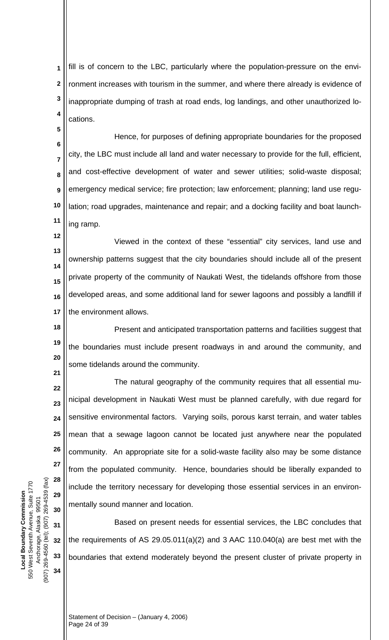fill is of concern to the LBC, particularly where the population-pressure on the environment increases with tourism in the summer, and where there already is evidence of inappropriate dumping of trash at road ends, log landings, and other unauthorized locations. **1 2 3 4**

**6 7 8 9 10 11** Hence, for purposes of defining appropriate boundaries for the proposed city, the LBC must include all land and water necessary to provide for the full, efficient, and cost-effective development of water and sewer utilities; solid-waste disposal; emergency medical service; fire protection; law enforcement; planning; land use regulation; road upgrades, maintenance and repair; and a docking facility and boat launching ramp.

**12 13 14 15 16 17** Viewed in the context of these "essential" city services, land use and ownership patterns suggest that the city boundaries should include all of the present private property of the community of Naukati West, the tidelands offshore from those developed areas, and some additional land for sewer lagoons and possibly a landfill if the environment allows.

**18 19 20** Present and anticipated transportation patterns and facilities suggest that the boundaries must include present roadways in and around the community, and some tidelands around the community.

**22 23 24 25 26 27 28 29 30** The natural geography of the community requires that all essential municipal development in Naukati West must be planned carefully, with due regard for sensitive environmental factors. Varying soils, porous karst terrain, and water tables mean that a sewage lagoon cannot be located just anywhere near the populated community. An appropriate site for a solid-waste facility also may be some distance from the populated community. Hence, boundaries should be liberally expanded to include the territory necessary for developing those essential services in an environmentally sound manner and location.

**31 32 33** Based on present needs for essential services, the LBC concludes that the requirements of AS 29.05.011(a)(2) and 3 AAC 110.040(a) are best met with the boundaries that extend moderately beyond the present cluster of private property in

(907) 269-4560 (tel); (907) 269-4539 (fax) (907) 269-4560 (tel); (907) 269-4539 (fax) 550 West Seventh Avenue, Suite 1770 550 West Seventh Avenue, Suite 1770 **Local Boundary Commission**  Local Boundary Commission Anchorage, Alaska 99501 Anchorage, Alaska 99501

**34**

**5**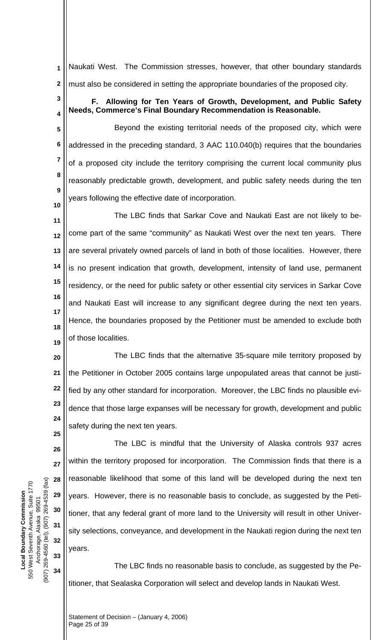Naukati West. The Commission stresses, however, that other boundary standards must also be considered in setting the appropriate boundaries of the proposed city. **1 2**

**F. Allowing for Ten Years of Growth, Development, and Public Safety Needs, Commerce's Final Boundary Recommendation is Reasonable.** 

**5 6 7 8 9** Beyond the existing territorial needs of the proposed city, which were addressed in the preceding standard, 3 AAC 110.040(b) requires that the boundaries of a proposed city include the territory comprising the current local community plus reasonably predictable growth, development, and public safety needs during the ten years following the effective date of incorporation.

**11 12 13 14 15 16 17 18 19** The LBC finds that Sarkar Cove and Naukati East are not likely to become part of the same "community" as Naukati West over the next ten years. There are several privately owned parcels of land in both of those localities. However, there is no present indication that growth, development, intensity of land use, permanent residency, or the need for public safety or other essential city services in Sarkar Cove and Naukati East will increase to any significant degree during the next ten years. Hence, the boundaries proposed by the Petitioner must be amended to exclude both of those localities.

**20 21 22 23 24** The LBC finds that the alternative 35-square mile territory proposed by the Petitioner in October 2005 contains large unpopulated areas that cannot be justified by any other standard for incorporation. Moreover, the LBC finds no plausible evidence that those large expanses will be necessary for growth, development and public safety during the next ten years.

(907) 269-4560 (tel); (907) 269-4539 (fax) (907) 269-4560 (tel); (907) 269-4539 (fax) 550 West Seventh Avenue, Suite 1770 550 West Seventh Avenue, Suite 1770 **Local Boundary Commission Local Boundary Commission** Anchorage, Alaska 99501 Anchorage, Alaska 99501

**25**

**26**

**27**

**28**

**29**

**30**

**31**

**32**

**33**

**34**

**3**

**4**

**10**

The LBC is mindful that the University of Alaska controls 937 acres within the territory proposed for incorporation. The Commission finds that there is a reasonable likelihood that some of this land will be developed during the next ten years. However, there is no reasonable basis to conclude, as suggested by the Petitioner, that any federal grant of more land to the University will result in other University selections, conveyance, and development in the Naukati region during the next ten years.

The LBC finds no reasonable basis to conclude, as suggested by the Petitioner, that Sealaska Corporation will select and develop lands in Naukati West.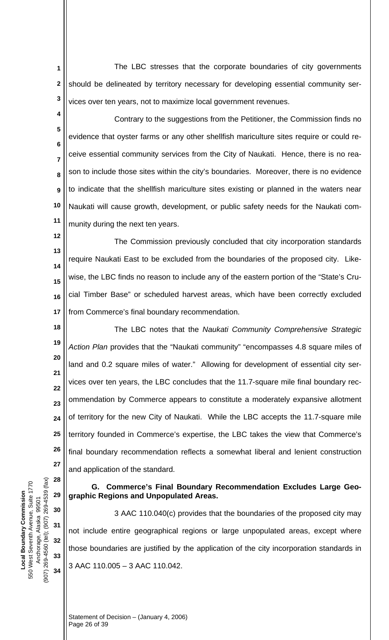The LBC stresses that the corporate boundaries of city governments should be delineated by territory necessary for developing essential community services over ten years, not to maximize local government revenues. **1 2 3**

**4 5 6 7 8 9 10 11** Contrary to the suggestions from the Petitioner, the Commission finds no evidence that oyster farms or any other shellfish mariculture sites require or could receive essential community services from the City of Naukati. Hence, there is no reason to include those sites within the city's boundaries. Moreover, there is no evidence to indicate that the shellfish mariculture sites existing or planned in the waters near Naukati will cause growth, development, or public safety needs for the Naukati community during the next ten years.

**12 13 14 15 16 17** The Commission previously concluded that city incorporation standards require Naukati East to be excluded from the boundaries of the proposed city. Likewise, the LBC finds no reason to include any of the eastern portion of the "State's Crucial Timber Base" or scheduled harvest areas, which have been correctly excluded from Commerce's final boundary recommendation.

**18 19 20 21 22 23 24 25 26 27** The LBC notes that the *Naukati Community Comprehensive Strategic Action Plan* provides that the "Naukati community" "encompasses 4.8 square miles of land and 0.2 square miles of water." Allowing for development of essential city services over ten years, the LBC concludes that the 11.7-square mile final boundary recommendation by Commerce appears to constitute a moderately expansive allotment of territory for the new City of Naukati. While the LBC accepts the 11.7-square mile territory founded in Commerce's expertise, the LBC takes the view that Commerce's final boundary recommendation reflects a somewhat liberal and lenient construction and application of the standard.

**G. Commerce's Final Boundary Recommendation Excludes Large Geographic Regions and Unpopulated Areas.** 

3 AAC 110.040(c) provides that the boundaries of the proposed city may not include entire geographical regions or large unpopulated areas, except where those boundaries are justified by the application of the city incorporation standards in 3 AAC 110.005 – 3 AAC 110.042.

(907) 269-4560 (tel); (907) 269-4539 (fax) (907) 269-4560 (tel); (907) 269-4539 (fax) 550 West Seventh Avenue, Suite 1770 550 West Seventh Avenue, Suite 1770 **Local Boundary Commission**  Local Boundary Commission Anchorage, Alaska 99501 Anchorage, Alaska 99501

**28**

**29**

**30**

**31**

**32**

**33**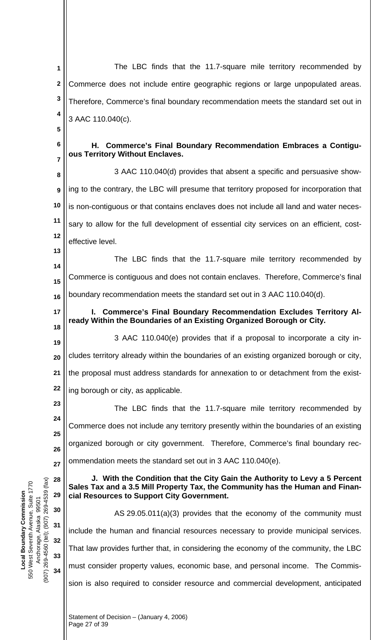The LBC finds that the 11.7-square mile territory recommended by **1 2** Commerce does not include entire geographic regions or large unpopulated areas. **3** Therefore, Commerce's final boundary recommendation meets the standard set out in **4** 3 AAC 110.040(c). **5 6 H. Commerce's Final Boundary Recommendation Embraces a Contiguous Territory Without Enclaves. 7** 3 AAC 110.040(d) provides that absent a specific and persuasive show-**8** ing to the contrary, the LBC will presume that territory proposed for incorporation that **9 10** is non-contiguous or that contains enclaves does not include all land and water neces-**11** sary to allow for the full development of essential city services on an efficient, cost-**12** effective level. **13** The LBC finds that the 11.7-square mile territory recommended by **14** Commerce is contiguous and does not contain enclaves. Therefore, Commerce's final **15** boundary recommendation meets the standard set out in 3 AAC 110.040(d). **16 I. Commerce's Final Boundary Recommendation Excludes Territory Al-17 ready Within the Boundaries of an Existing Organized Borough or City. 18** 3 AAC 110.040(e) provides that if a proposal to incorporate a city in-**19** cludes territory already within the boundaries of an existing organized borough or city, **20 21** the proposal must address standards for annexation to or detachment from the exist-**22** ing borough or city, as applicable. **23** The LBC finds that the 11.7-square mile territory recommended by **24** Commerce does not include any territory presently within the boundaries of an existing **25** organized borough or city government. Therefore, Commerce's final boundary rec-**26** ommendation meets the standard set out in 3 AAC 110.040(e). **27 J. With the Condition that the City Gain the Authority to Levy a 5 Percent**  (907) 269-4560 (tel); (907) 269-4539 (fax) **28** 269-4539 (fax) **Sales Tax and a 3.5 Mill Property Tax, the Community has the Human and Finan-29 cial Resources to Support City Government. 30** AS 29.05.011(a)(3) provides that the economy of the community must  $(907)$ **31** include the human and financial resources necessary to provide municipal services. (907) 269-4560 (tel); **32** That law provides further that, in considering the economy of the community, the LBC **33** must consider property values, economic base, and personal income. The Commis-**34** sion is also required to consider resource and commercial development, anticipated

**Local Boundary Commission**  550 West Seventh Avenue, Suite 1770 Anchorage, Alaska 99501

550 West Seventh Avenue, Suite 1770 **Local Boundary Commission** 

99501

Anchorage, Alaska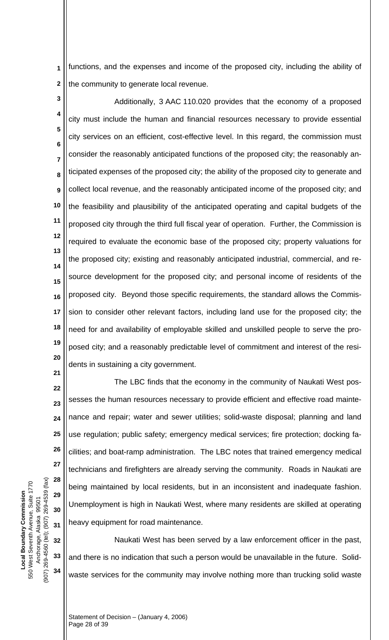functions, and the expenses and income of the proposed city, including the ability of the community to generate local revenue. **1 2**

**3**

**4 5 6 7 8 9 10 11 12 13 14 15 16 17 18 19 20** Additionally, 3 AAC 110.020 provides that the economy of a proposed city must include the human and financial resources necessary to provide essential city services on an efficient, cost-effective level. In this regard, the commission must consider the reasonably anticipated functions of the proposed city; the reasonably anticipated expenses of the proposed city; the ability of the proposed city to generate and collect local revenue, and the reasonably anticipated income of the proposed city; and the feasibility and plausibility of the anticipated operating and capital budgets of the proposed city through the third full fiscal year of operation. Further, the Commission is required to evaluate the economic base of the proposed city; property valuations for the proposed city; existing and reasonably anticipated industrial, commercial, and resource development for the proposed city; and personal income of residents of the proposed city. Beyond those specific requirements, the standard allows the Commission to consider other relevant factors, including land use for the proposed city; the need for and availability of employable skilled and unskilled people to serve the proposed city; and a reasonably predictable level of commitment and interest of the residents in sustaining a city government.

**22 23 24 25 26 27 28 29 30 31** The LBC finds that the economy in the community of Naukati West possesses the human resources necessary to provide efficient and effective road maintenance and repair; water and sewer utilities; solid-waste disposal; planning and land use regulation; public safety; emergency medical services; fire protection; docking facilities; and boat-ramp administration. The LBC notes that trained emergency medical technicians and firefighters are already serving the community. Roads in Naukati are being maintained by local residents, but in an inconsistent and inadequate fashion. Unemployment is high in Naukati West, where many residents are skilled at operating heavy equipment for road maintenance.

**32 33 34** Naukati West has been served by a law enforcement officer in the past, and there is no indication that such a person would be unavailable in the future. Solidwaste services for the community may involve nothing more than trucking solid waste

(907) 269-4560 (tel); (907) 269-4539 (fax) (907) 269-4560 (tel); (907) 269-4539 (fax) 550 West Seventh Avenue, Suite 1770 550 West Seventh Avenue, Suite 1770 **Local Boundary Commission**  Local Boundary Commission Anchorage, Alaska 99501 Anchorage, Alaska 99501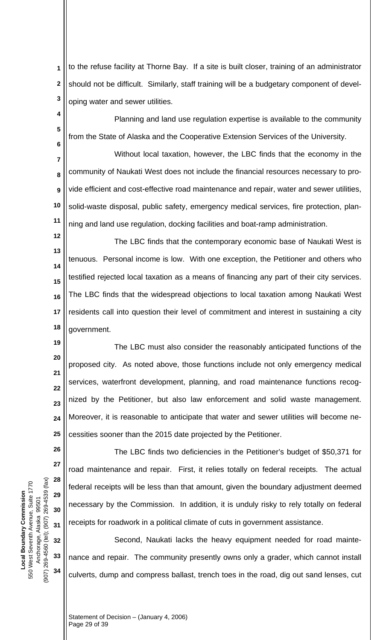to the refuse facility at Thorne Bay. If a site is built closer, training of an administrator should not be difficult. Similarly, staff training will be a budgetary component of developing water and sewer utilities. **1 2 3**

Planning and land use regulation expertise is available to the community from the State of Alaska and the Cooperative Extension Services of the University.

**7 8 9 10 11** Without local taxation, however, the LBC finds that the economy in the community of Naukati West does not include the financial resources necessary to provide efficient and cost-effective road maintenance and repair, water and sewer utilities, solid-waste disposal, public safety, emergency medical services, fire protection, planning and land use regulation, docking facilities and boat-ramp administration.

**12 13 14 15 16 17 18** The LBC finds that the contemporary economic base of Naukati West is tenuous. Personal income is low. With one exception, the Petitioner and others who testified rejected local taxation as a means of financing any part of their city services. The LBC finds that the widespread objections to local taxation among Naukati West residents call into question their level of commitment and interest in sustaining a city government.

**19 20 21 22 24 25** The LBC must also consider the reasonably anticipated functions of the proposed city. As noted above, those functions include not only emergency medical services, waterfront development, planning, and road maintenance functions recognized by the Petitioner, but also law enforcement and solid waste management. Moreover, it is reasonable to anticipate that water and sewer utilities will become necessities sooner than the 2015 date projected by the Petitioner.

The LBC finds two deficiencies in the Petitioner's budget of \$50,371 for road maintenance and repair. First, it relies totally on federal receipts. The actual federal receipts will be less than that amount, given the boundary adjustment deemed necessary by the Commission. In addition, it is unduly risky to rely totally on federal receipts for roadwork in a political climate of cuts in government assistance.

Second, Naukati lacks the heavy equipment needed for road maintenance and repair. The community presently owns only a grader, which cannot install culverts, dump and compress ballast, trench toes in the road, dig out sand lenses, cut

Statement of Decision – (January 4, 2006)

Page 29 of 39

(907) 269-4560 (tel); (907) 269-4539 (fax) (907) 269-4560 (tel); (907) 269-4539 (fax) 550 West Seventh Avenue, Suite 1770 550 West Seventh Avenue, Suite 1770 **Local Boundary Commission**  Local Boundary Commission Anchorage, Alaska 99501 Anchorage, Alaska 99501

**23**

**26**

**27**

**28**

**29**

**30**

**31**

**32**

**33**

**34**

**4**

**5**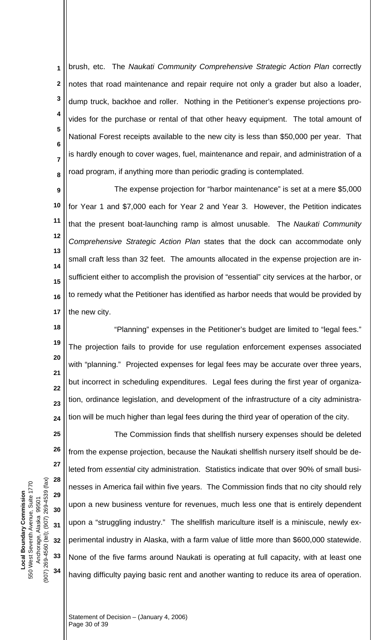brush, etc. The *Naukati Community Comprehensive Strategic Action Plan* correctly notes that road maintenance and repair require not only a grader but also a loader, dump truck, backhoe and roller. Nothing in the Petitioner's expense projections provides for the purchase or rental of that other heavy equipment. The total amount of National Forest receipts available to the new city is less than \$50,000 per year. That is hardly enough to cover wages, fuel, maintenance and repair, and administration of a road program, if anything more than periodic grading is contemplated. **1 2 3 4 5 6 7 8**

**9 10 11 12 13 14 15 16 17** The expense projection for "harbor maintenance" is set at a mere \$5,000 for Year 1 and \$7,000 each for Year 2 and Year 3. However, the Petition indicates that the present boat-launching ramp is almost unusable. The *Naukati Community Comprehensive Strategic Action Plan* states that the dock can accommodate only small craft less than 32 feet. The amounts allocated in the expense projection are insufficient either to accomplish the provision of "essential" city services at the harbor, or to remedy what the Petitioner has identified as harbor needs that would be provided by the new city.

**18 19 20 21 22 23 24** "Planning" expenses in the Petitioner's budget are limited to "legal fees." The projection fails to provide for use regulation enforcement expenses associated with "planning." Projected expenses for legal fees may be accurate over three years, but incorrect in scheduling expenditures. Legal fees during the first year of organization, ordinance legislation, and development of the infrastructure of a city administration will be much higher than legal fees during the third year of operation of the city.

The Commission finds that shellfish nursery expenses should be deleted from the expense projection, because the Naukati shellfish nursery itself should be deleted from *essential* city administration. Statistics indicate that over 90% of small businesses in America fail within five years. The Commission finds that no city should rely upon a new business venture for revenues, much less one that is entirely dependent upon a "struggling industry." The shellfish mariculture itself is a miniscule, newly experimental industry in Alaska, with a farm value of little more than \$600,000 statewide. None of the five farms around Naukati is operating at full capacity, with at least one having difficulty paying basic rent and another wanting to reduce its area of operation.

(907) 269-4560 (tel); (907) 269-4539 (fax) (907) 269-4560 (tel); (907) 269-4539 (fax) 550 West Seventh Avenue, Suite 1770 550 West Seventh Avenue, Suite 1770 **Local Boundary Commission**  Local Boundary Commission Anchorage, Alaska 99501 Anchorage, Alaska 99501

**25**

**26**

**27**

**28**

**29**

**30**

**31**

**32**

**33**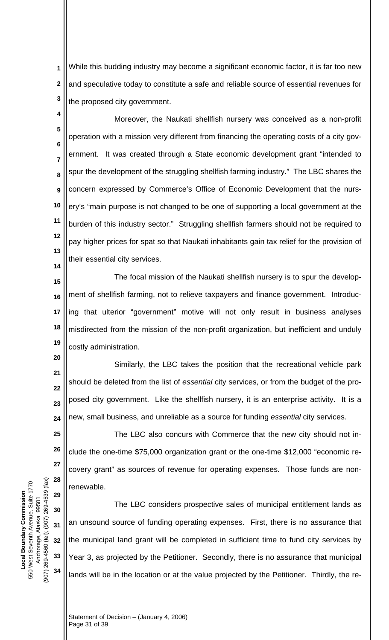While this budding industry may become a significant economic factor, it is far too new and speculative today to constitute a safe and reliable source of essential revenues for the proposed city government. **1 2 3**

**4 5 6 7 8 9 10 11 12 13 14** Moreover, the Naukati shellfish nursery was conceived as a non-profit operation with a mission very different from financing the operating costs of a city government. It was created through a State economic development grant "intended to spur the development of the struggling shellfish farming industry." The LBC shares the concern expressed by Commerce's Office of Economic Development that the nursery's "main purpose is not changed to be one of supporting a local government at the burden of this industry sector." Struggling shellfish farmers should not be required to pay higher prices for spat so that Naukati inhabitants gain tax relief for the provision of their essential city services.

**15 16 17 18 19** The focal mission of the Naukati shellfish nursery is to spur the development of shellfish farming, not to relieve taxpayers and finance government. Introducing that ulterior "government" motive will not only result in business analyses misdirected from the mission of the non-profit organization, but inefficient and unduly costly administration.

**20 21 22 23 24** Similarly, the LBC takes the position that the recreational vehicle park should be deleted from the list of *essential* city services, or from the budget of the proposed city government. Like the shellfish nursery, it is an enterprise activity. It is a new, small business, and unreliable as a source for funding *essential* city services.

**25 26 27 28** The LBC also concurs with Commerce that the new city should not include the one-time \$75,000 organization grant or the one-time \$12,000 "economic recovery grant" as sources of revenue for operating expenses. Those funds are nonrenewable.

The LBC considers prospective sales of municipal entitlement lands as an unsound source of funding operating expenses. First, there is no assurance that the municipal land grant will be completed in sufficient time to fund city services by Year 3, as projected by the Petitioner. Secondly, there is no assurance that municipal lands will be in the location or at the value projected by the Petitioner. Thirdly, the re-

(907) 269-4560 (tel); (907) 269-4539 (fax) (907) 269-4560 (tel); (907) 269-4539 (fax) 550 West Seventh Avenue, Suite 1770 550 West Seventh Avenue, Suite 1770 **Local Boundary Commission**  Local Boundary Commission Anchorage, Alaska 99501 Anchorage, Alaska 99501

**29**

**30**

**31**

**32**

**33**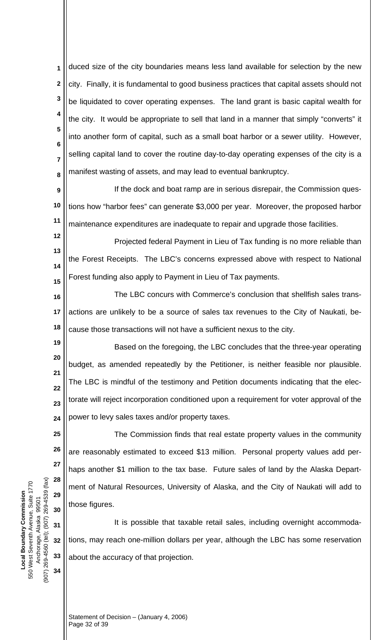duced size of the city boundaries means less land available for selection by the new city. Finally, it is fundamental to good business practices that capital assets should not be liquidated to cover operating expenses. The land grant is basic capital wealth for the city. It would be appropriate to sell that land in a manner that simply "converts" it into another form of capital, such as a small boat harbor or a sewer utility. However, selling capital land to cover the routine day-to-day operating expenses of the city is a manifest wasting of assets, and may lead to eventual bankruptcy. **1 2 3 4 5 6 7 8**

**9 10 11** If the dock and boat ramp are in serious disrepair, the Commission questions how "harbor fees" can generate \$3,000 per year. Moreover, the proposed harbor maintenance expenditures are inadequate to repair and upgrade those facilities.

**12 13 14 15** Projected federal Payment in Lieu of Tax funding is no more reliable than the Forest Receipts. The LBC's concerns expressed above with respect to National Forest funding also apply to Payment in Lieu of Tax payments.

**16 17 18** The LBC concurs with Commerce's conclusion that shellfish sales transactions are unlikely to be a source of sales tax revenues to the City of Naukati, because those transactions will not have a sufficient nexus to the city.

**19 20 21 22 23 24** Based on the foregoing, the LBC concludes that the three-year operating budget, as amended repeatedly by the Petitioner, is neither feasible nor plausible. The LBC is mindful of the testimony and Petition documents indicating that the electorate will reject incorporation conditioned upon a requirement for voter approval of the power to levy sales taxes and/or property taxes.

The Commission finds that real estate property values in the community are reasonably estimated to exceed \$13 million. Personal property values add perhaps another \$1 million to the tax base. Future sales of land by the Alaska Department of Natural Resources, University of Alaska, and the City of Naukati will add to those figures.

**32 33** It is possible that taxable retail sales, including overnight accommodations, may reach one-million dollars per year, although the LBC has some reservation about the accuracy of that projection.

(907) 269-4560 (tel); (907) 269-4539 (fax) (907) 269-4560 (tel); (907) 269-4539 (fax) 550 West Seventh Avenue, Suite 1770 550 West Seventh Avenue, Suite 1770 **Local Boundary Commission**  Local Boundary Commission Anchorage, Alaska 99501 Anchorage, Alaska 99501

**25**

**26**

**27**

**28**

**29**

**30**

**31**

**34**

Statement of Decision – (January 4, 2006) Page 32 of 39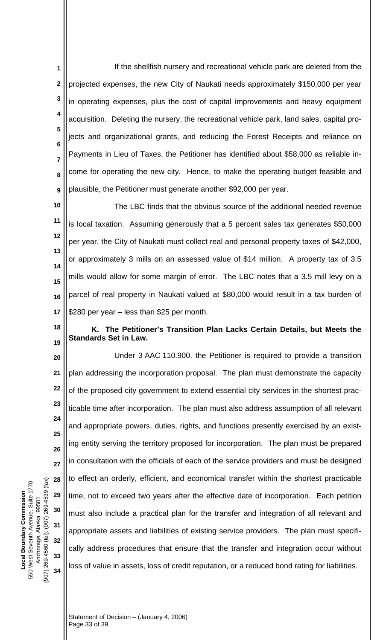If the shellfish nursery and recreational vehicle park are deleted from the projected expenses, the new City of Naukati needs approximately \$150,000 per year in operating expenses, plus the cost of capital improvements and heavy equipment acquisition. Deleting the nursery, the recreational vehicle park, land sales, capital projects and organizational grants, and reducing the Forest Receipts and reliance on Payments in Lieu of Taxes, the Petitioner has identified about \$58,000 as reliable income for operating the new city. Hence, to make the operating budget feasible and plausible, the Petitioner must generate another \$92,000 per year. **1 2 3 4 5 6 7 8 9**

**10 11 12 13 14 15 16 17** The LBC finds that the obvious source of the additional needed revenue is local taxation. Assuming generously that a 5 percent sales tax generates \$50,000 per year, the City of Naukati must collect real and personal property taxes of \$42,000, or approximately 3 mills on an assessed value of \$14 million. A property tax of 3.5 mills would allow for some margin of error. The LBC notes that a 3.5 mill levy on a parcel of real property in Naukati valued at \$80,000 would result in a tax burden of \$280 per year – less than \$25 per month.

# **K. The Petitioner's Transition Plan Lacks Certain Details, but Meets the Standards Set in Law.**

**20 21 22 23 24 25 26 27 28 29 30 31 32 33 34** Under 3 AAC 110.900, the Petitioner is required to provide a transition plan addressing the incorporation proposal. The plan must demonstrate the capacity of the proposed city government to extend essential city services in the shortest practicable time after incorporation. The plan must also address assumption of all relevant and appropriate powers, duties, rights, and functions presently exercised by an existing entity serving the territory proposed for incorporation. The plan must be prepared in consultation with the officials of each of the service providers and must be designed to effect an orderly, efficient, and economical transfer within the shortest practicable time, not to exceed two years after the effective date of incorporation. Each petition must also include a practical plan for the transfer and integration of all relevant and appropriate assets and liabilities of existing service providers. The plan must specifically address procedures that ensure that the transfer and integration occur without loss of value in assets, loss of credit reputation, or a reduced bond rating for liabilities.

(907) 269-4560 (tel); (907) 269-4539 (fax) (907) 269-4560 (tel); (907) 269-4539 (fax) 550 West Seventh Avenue, Suite 1770 550 West Seventh Avenue, Suite 1770 **Local Boundary Commission**  Local Boundary Commission Anchorage, Alaska 99501 Anchorage, Alaska 99501

**18**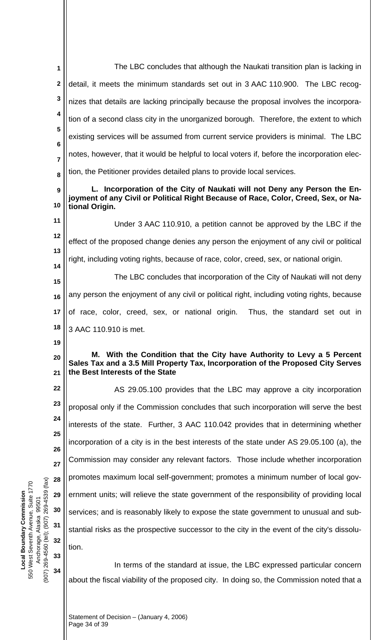|                                       | 1                         | The LBC concludes that although the Naukati transition plan is lacking in                                                                                                                     |
|---------------------------------------|---------------------------|-----------------------------------------------------------------------------------------------------------------------------------------------------------------------------------------------|
|                                       | $\mathbf{2}$              | detail, it meets the minimum standards set out in 3 AAC 110.900. The LBC recog-                                                                                                               |
|                                       | $\mathbf 3$               | nizes that details are lacking principally because the proposal involves the incorpora-                                                                                                       |
|                                       | 4                         | tion of a second class city in the unorganized borough. Therefore, the extent to which                                                                                                        |
|                                       | 5                         | existing services will be assumed from current service providers is minimal. The LBC                                                                                                          |
|                                       | $\bf 6$<br>$\overline{7}$ | notes, however, that it would be helpful to local voters if, before the incorporation elec-                                                                                                   |
|                                       | 8                         | tion, the Petitioner provides detailed plans to provide local services.                                                                                                                       |
|                                       | 9                         | L. Incorporation of the City of Naukati will not Deny any Person the En-                                                                                                                      |
|                                       | 10                        | joyment of any Civil or Political Right Because of Race, Color, Creed, Sex, or Na-<br>tional Origin.                                                                                          |
|                                       | 11                        | Under 3 AAC 110.910, a petition cannot be approved by the LBC if the                                                                                                                          |
|                                       | 12                        | effect of the proposed change denies any person the enjoyment of any civil or political                                                                                                       |
|                                       | 13<br>14                  | right, including voting rights, because of race, color, creed, sex, or national origin.                                                                                                       |
|                                       | 15                        | The LBC concludes that incorporation of the City of Naukati will not deny                                                                                                                     |
|                                       | 16                        | any person the enjoyment of any civil or political right, including voting rights, because                                                                                                    |
|                                       | 17                        | of race, color, creed, sex, or national origin. Thus, the standard set out in                                                                                                                 |
|                                       |                           |                                                                                                                                                                                               |
|                                       | 18                        | 3 AAC 110.910 is met.                                                                                                                                                                         |
|                                       | 19                        |                                                                                                                                                                                               |
|                                       | 20<br>21                  | M. With the Condition that the City have Authority to Levy a 5 Percent<br>Sales Tax and a 3.5 Mill Property Tax, Incorporation of the Proposed City Serves<br>the Best Interests of the State |
|                                       | 22                        | AS 29.05.100 provides that the LBC may approve a city incorporation                                                                                                                           |
|                                       | 23                        | proposal only if the Commission concludes that such incorporation will serve the best                                                                                                         |
|                                       | 24                        | interests of the state. Further, 3 AAC 110.042 provides that in determining whether                                                                                                           |
|                                       | 25                        | incorporation of a city is in the best interests of the state under AS 29.05.100 (a), the                                                                                                     |
|                                       | 26                        | Commission may consider any relevant factors. Those include whether incorporation                                                                                                             |
|                                       | 27<br>28                  | promotes maximum local self-government; promotes a minimum number of local gov-                                                                                                               |
|                                       | 29                        | ernment units; will relieve the state government of the responsibility of providing local                                                                                                     |
|                                       | 30                        | services; and is reasonably likely to expose the state government to unusual and sub-                                                                                                         |
|                                       | 31                        | stantial risks as the prospective successor to the city in the event of the city's dissolu-                                                                                                   |
|                                       | 32                        | tion.                                                                                                                                                                                         |
|                                       | 33                        | In terms of the standard at issue, the LBC expressed particular concern                                                                                                                       |
| (xe3) 269-4560 (100) : (iei) 0604-694 | 34                        | about the fiscal viability of the proposed city. In doing so, the Commission noted that a                                                                                                     |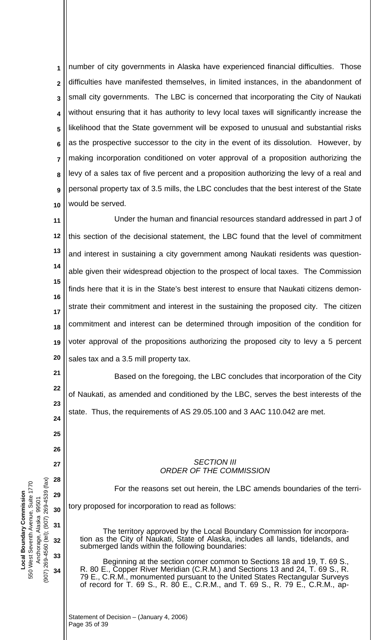number of city governments in Alaska have experienced financial difficulties. Those difficulties have manifested themselves, in limited instances, in the abandonment of small city governments. The LBC is concerned that incorporating the City of Naukati without ensuring that it has authority to levy local taxes will significantly increase the likelihood that the State government will be exposed to unusual and substantial risks as the prospective successor to the city in the event of its dissolution. However, by making incorporation conditioned on voter approval of a proposition authorizing the levy of a sales tax of five percent and a proposition authorizing the levy of a real and personal property tax of 3.5 mills, the LBC concludes that the best interest of the State would be served. **1 2 3 4 5 6 7 8 9 10**

**11 12 13 14 15 16 17 18 19 20** Under the human and financial resources standard addressed in part J of this section of the decisional statement, the LBC found that the level of commitment and interest in sustaining a city government among Naukati residents was questionable given their widespread objection to the prospect of local taxes. The Commission finds here that it is in the State's best interest to ensure that Naukati citizens demonstrate their commitment and interest in the sustaining the proposed city. The citizen commitment and interest can be determined through imposition of the condition for voter approval of the propositions authorizing the proposed city to levy a 5 percent sales tax and a 3.5 mill property tax.

Based on the foregoing, the LBC concludes that incorporation of the City of Naukati, as amended and conditioned by the LBC, serves the best interests of the state. Thus, the requirements of AS 29.05.100 and 3 AAC 110.042 are met.

#### *SECTION III ORDER OF THE COMMISSION*

 For the reasons set out herein, the LBC amends boundaries of the territory proposed for incorporation to read as follows:

The territory approved by the Local Boundary Commission for incorporation as the City of Naukati, State of Alaska, includes all lands, tidelands, and submerged lands within the following boundaries:

Beginning at the section corner common to Sections 18 and 19, T. 69 S., R. 80 E., Copper River Meridian (C.R.M.) and Sections 13 and 24, T. 69 S., R. 79 E., C.R.M., monumented pursuant to the United States Rectangular Surveys of record for T. 69 S., R. 80 E., C.R.M., and T. 69 S., R. 79 E., C.R.M., ap-

(907) 269-4560 (tel); (907) 269-4539 (fax)  $(907)$  269-4539 (fax) 550 West Seventh Avenue, Suite 1770 550 West Seventh Avenue, Suite 1770 **Local Boundary Commission Local Boundary Commission** Anchorage, Alaska 99501 99501 Anchorage, Alaska (907) 269-4560 (tel);

**21**

**22**

**23**

**24**

**25**

**26**

**27**

**28**

**29**

**30**

**31**

**32**

**33**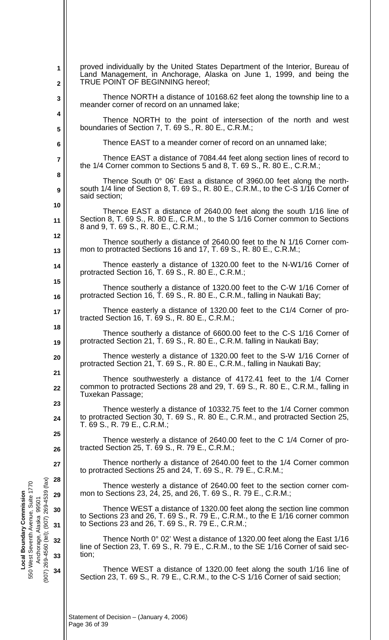|                                            | 1<br>$\mathbf 2$        | proved individually by the United States Department of the Interior, Bureau of<br>Land Management, in Anchorage, Alaska on June 1, 1999, and being the<br>TRUE POINT OF BEGINNING hereof;                    |
|--------------------------------------------|-------------------------|--------------------------------------------------------------------------------------------------------------------------------------------------------------------------------------------------------------|
|                                            | 3                       | Thence NORTH a distance of 10168.62 feet along the township line to a<br>meander corner of record on an unnamed lake;                                                                                        |
|                                            | 4<br>5                  | Thence NORTH to the point of intersection of the north and west<br>boundaries of Section 7, T. 69 S., R. 80 E., C.R.M.;                                                                                      |
|                                            | 6                       | Thence EAST to a meander corner of record on an unnamed lake;                                                                                                                                                |
|                                            | $\overline{\mathbf{7}}$ | Thence EAST a distance of 7084.44 feet along section lines of record to<br>the $1/4$ Corner common to Sections 5 and 8, T. 69 S., R. 80 E., C.R.M.;                                                          |
|                                            | 8                       | Thence South 0° 06' East a distance of 3960.00 feet along the north-                                                                                                                                         |
|                                            | 9                       | south 1/4 line of Section 8, T. 69 S., R. 80 E., C.R.M., to the C-S 1/16 Corner of<br>said section;                                                                                                          |
|                                            | 10                      | Thence EAST a distance of 2640.00 feet along the south 1/16 line of                                                                                                                                          |
|                                            | 11                      | Section 8, T. 69 S., R. 80 E., C.R.M., to the S 1/16 Corner common to Sections<br>8 and 9, T. 69 S., R. 80 E., C.R.M.;                                                                                       |
|                                            | 12<br>13                | Thence southerly a distance of 2640.00 feet to the N 1/16 Corner com-<br>mon to protracted Sections 16 and 17, T. 69 S., R. 80 E., C.R.M.;                                                                   |
|                                            | 14                      | Thence easterly a distance of 1320.00 feet to the N-W1/16 Corner of<br>protracted Section 16, T. 69 S., R. 80 E., C.R.M.;                                                                                    |
|                                            | 15                      | Thence southerly a distance of 1320.00 feet to the C-W 1/16 Corner of                                                                                                                                        |
|                                            | 16                      | protracted Section 16, T. 69 S., R. 80 E., C.R.M., falling in Naukati Bay;                                                                                                                                   |
|                                            | 17<br>18                | Thence easterly a distance of 1320.00 feet to the C1/4 Corner of pro-<br>tracted Section 16, T. 69 S., R. 80 E., C.R.M.;                                                                                     |
|                                            | 19                      | Thence southerly a distance of 6600.00 feet to the C-S 1/16 Corner of<br>protracted Section 21, T. 69 S., R. 80 E., C.R.M. falling in Naukati Bay;                                                           |
|                                            | 20                      | Thence westerly a distance of 1320.00 feet to the S-W 1/16 Corner of<br>protracted Section 21, T. 69 S., R. 80 E., C.R.M., falling in Naukati Bay;                                                           |
|                                            | 21<br>22                | Thence southwesterly a distance of 4172.41 feet to the 1/4 Corner<br>common to protracted Sections 28 and 29, T. 69 S., R. 80 E., C.R.M., falling in<br>Tuxekan Passage;                                     |
|                                            | 23                      | Thence westerly a distance of 10332.75 feet to the 1/4 Corner common                                                                                                                                         |
|                                            | 24                      | to protracted Section 30, T. 69 S., R. 80 E., C.R.M., and protracted Section 25,<br>T. 69 S., R. 79 E., C.R.M.;                                                                                              |
|                                            | 25                      | Thence westerly a distance of 2640.00 feet to the C 1/4 Corner of pro-                                                                                                                                       |
|                                            | 26                      | tracted Section 25, T. 69 S., R. 79 E., C.R.M.;                                                                                                                                                              |
|                                            | 27                      | Thence northerly a distance of 2640.00 feet to the 1/4 Corner common<br>to protracted Sections 25 and 24, T. 69 S., R. 79 E., C.R.M.;                                                                        |
|                                            | 28                      | Thence westerly a distance of 2640.00 feet to the section corner com-                                                                                                                                        |
|                                            | 29                      | mon to Sections 23, 24, 25, and 26, T. 69 S., R. 79 E., C.R.M.;                                                                                                                                              |
|                                            | 30<br>31                | Thence WEST a distance of 1320.00 feet along the section line common<br>to Sections 23 and 26, T. 69 S., R. 79 E., C.R.M., to the E 1/16 corner common<br>to Sections 23 and 26, T. 69 S., R. 79 E., C.R.M.; |
| (907) 269-4560 (tel); (907) 269-4539 (fax) | 32<br>33                | Thence North 0° 02' West a distance of 1320.00 feet along the East 1/16<br>line of Section 23, T. 69 S., R. 79 E., C.R.M., to the SE 1/16 Corner of said sec-<br>tion;                                       |
|                                            | 34                      | Thence WEST a distance of 1320.00 feet along the south 1/16 line of<br>Section 23, T. 69 S., R. 79 E., C.R.M., to the C-S 1/16 Corner of said section;                                                       |
|                                            |                         |                                                                                                                                                                                                              |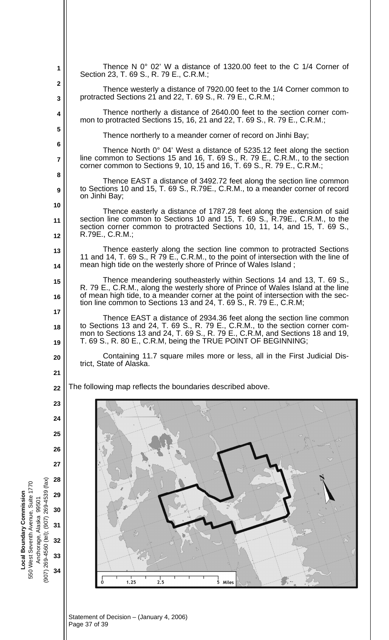|                                                                                       | 1                                      | Thence N $0^{\circ}$ 02' W a distance of 1320.00 feet to the C 1/4 Corner of<br>Section 23, T. 69 S., R. 79 E., C.R.M.;                                                                                                                                |
|---------------------------------------------------------------------------------------|----------------------------------------|--------------------------------------------------------------------------------------------------------------------------------------------------------------------------------------------------------------------------------------------------------|
|                                                                                       | $\mathbf 2$<br>$\overline{\mathbf{3}}$ | Thence westerly a distance of 7920.00 feet to the 1/4 Corner common to<br>protracted Sections 21 and 22, T. 69 S., R. 79 E., C.R.M.;                                                                                                                   |
|                                                                                       | 4                                      | Thence northerly a distance of 2640.00 feet to the section corner com-<br>mon to protracted Sections 15, 16, 21 and 22, T. 69 S., R. 79 E., C.R.M.;                                                                                                    |
|                                                                                       | 5                                      | Thence northerly to a meander corner of record on Jinhi Bay;                                                                                                                                                                                           |
|                                                                                       | 6                                      | Thence North 0° 04' West a distance of 5235.12 feet along the section                                                                                                                                                                                  |
|                                                                                       | $\overline{7}$<br>8                    | line common to Sections 15 and 16, T. 69 S., R. 79 E., C.R.M., to the section<br>corner common to Sections 9, 10, 15 and 16, T. 69 S., R. 79 E., C.R.M.;                                                                                               |
|                                                                                       | 9                                      | Thence EAST a distance of 3492.72 feet along the section line common<br>to Sections 10 and 15, T. 69 S., R.79E., C.R.M., to a meander corner of record                                                                                                 |
|                                                                                       | 10                                     | on Jinhi Bay;                                                                                                                                                                                                                                          |
|                                                                                       | 11                                     | Thence easterly a distance of 1787.28 feet along the extension of said<br>section line common to Sections 10 and 15, T. 69 S., R.79E., C.R.M., to the<br>section corner common to protracted Sections 10, 11, 14, and 15, T. 69 S.,<br>R.79E., C.R.M.; |
|                                                                                       | 12                                     |                                                                                                                                                                                                                                                        |
|                                                                                       | 13<br>14                               | Thence easterly along the section line common to protracted Sections<br>11 and 14, T. 69 S., R 79 E., C.R.M., to the point of intersection with the line of<br>mean high tide on the westerly shore of Prince of Wales Island;                         |
|                                                                                       | 15                                     | Thence meandering southeasterly within Sections 14 and 13, T. 69 S.,                                                                                                                                                                                   |
|                                                                                       | 16                                     | R. 79 E., C.R.M., along the westerly shore of Prince of Wales Island at the line<br>of mean high tide, to a meander corner at the point of intersection with the sec-<br>tion line common to Sections 13 and 24, T. 69 S., R. 79 E., C.R.M;            |
|                                                                                       | 17                                     | Thence EAST a distance of 2934.36 feet along the section line common                                                                                                                                                                                   |
|                                                                                       | 18<br>19                               | to Sections 13 and 24, T. 69 S., R. 79 E., C.R.M., to the section corner com-<br>mon to Sections 13 and 24, T. 69 S., R. 79 E., C.R.M, and Sections 18 and 19,<br>T. 69 S., R. 80 E., C.R.M, being the TRUE POINT OF BEGINNING;                        |
|                                                                                       | 20                                     | Containing 11.7 square miles more or less, all in the First Judicial Dis-<br>trict, State of Alaska.                                                                                                                                                   |
|                                                                                       | 21                                     |                                                                                                                                                                                                                                                        |
|                                                                                       | 22                                     | The following map reflects the boundaries described above.                                                                                                                                                                                             |
|                                                                                       | 23                                     | P                                                                                                                                                                                                                                                      |
|                                                                                       | 24                                     |                                                                                                                                                                                                                                                        |
|                                                                                       | 25                                     |                                                                                                                                                                                                                                                        |
|                                                                                       | 26                                     |                                                                                                                                                                                                                                                        |
|                                                                                       | 27                                     |                                                                                                                                                                                                                                                        |
|                                                                                       | 28                                     |                                                                                                                                                                                                                                                        |
| 99501                                                                                 | 29                                     |                                                                                                                                                                                                                                                        |
|                                                                                       | 30                                     |                                                                                                                                                                                                                                                        |
| Local Boundary Commission<br>550 West Seventh Avenue, Suite 1770<br>Anchorage, Alaska | 31                                     |                                                                                                                                                                                                                                                        |
| (907) 269-4560 (tel); (907) 269-4539 (fax)                                            | 32                                     |                                                                                                                                                                                                                                                        |
|                                                                                       | 33                                     |                                                                                                                                                                                                                                                        |
|                                                                                       | 34                                     | 2.5<br>1.25<br>5 Miles                                                                                                                                                                                                                                 |
|                                                                                       |                                        |                                                                                                                                                                                                                                                        |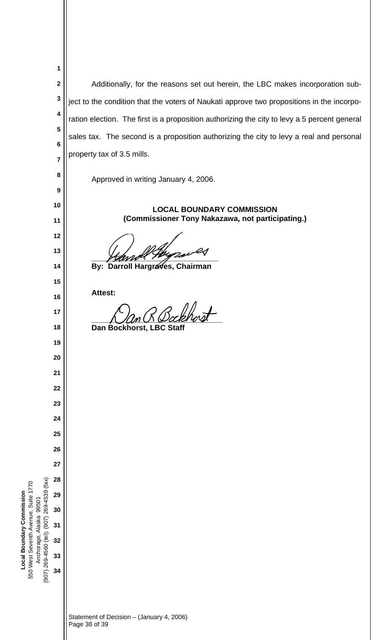| 1                                                                                                                    |                                                                                              |
|----------------------------------------------------------------------------------------------------------------------|----------------------------------------------------------------------------------------------|
| $\mathbf 2$                                                                                                          | Additionally, for the reasons set out herein, the LBC makes incorporation sub-               |
| 3                                                                                                                    | ject to the condition that the voters of Naukati approve two propositions in the incorpo-    |
| 4                                                                                                                    | ration election. The first is a proposition authorizing the city to levy a 5 percent general |
| 5                                                                                                                    | sales tax. The second is a proposition authorizing the city to levy a real and personal      |
| 6                                                                                                                    |                                                                                              |
| $\overline{7}$                                                                                                       | property tax of 3.5 mills.                                                                   |
| 8                                                                                                                    | Approved in writing January 4, 2006.                                                         |
| $\boldsymbol{9}$                                                                                                     |                                                                                              |
| 10                                                                                                                   | <b>LOCAL BOUNDARY COMMISSION</b><br>(Commissioner Tony Nakazawa, not participating.)         |
| 11<br>12                                                                                                             |                                                                                              |
| 13                                                                                                                   |                                                                                              |
| 14                                                                                                                   | By: Darroll Hargraves, Chairman                                                              |
| 15                                                                                                                   |                                                                                              |
| 16                                                                                                                   | Attest:                                                                                      |
| 17                                                                                                                   |                                                                                              |
| 18                                                                                                                   | Dan Bockhorst, LBC Staff                                                                     |
| 19                                                                                                                   |                                                                                              |
| 20                                                                                                                   |                                                                                              |
| 21                                                                                                                   |                                                                                              |
| 22                                                                                                                   |                                                                                              |
| 23                                                                                                                   |                                                                                              |
| 24<br>25                                                                                                             |                                                                                              |
| 26                                                                                                                   |                                                                                              |
| 27                                                                                                                   |                                                                                              |
| 28                                                                                                                   |                                                                                              |
| 29                                                                                                                   |                                                                                              |
| Anchorage, Alaska 99501<br>30                                                                                        |                                                                                              |
| 31                                                                                                                   |                                                                                              |
| 32                                                                                                                   |                                                                                              |
| (907) 269-4560 (tel); (907) 269-4539 (fax)<br>550 West Seventh Avenue, Suite 1770<br>Local Boundary Commission<br>33 |                                                                                              |
| 34                                                                                                                   |                                                                                              |
|                                                                                                                      |                                                                                              |
|                                                                                                                      | Statement of Decision - (January 4, 2006)<br>Page 38 of 39                                   |